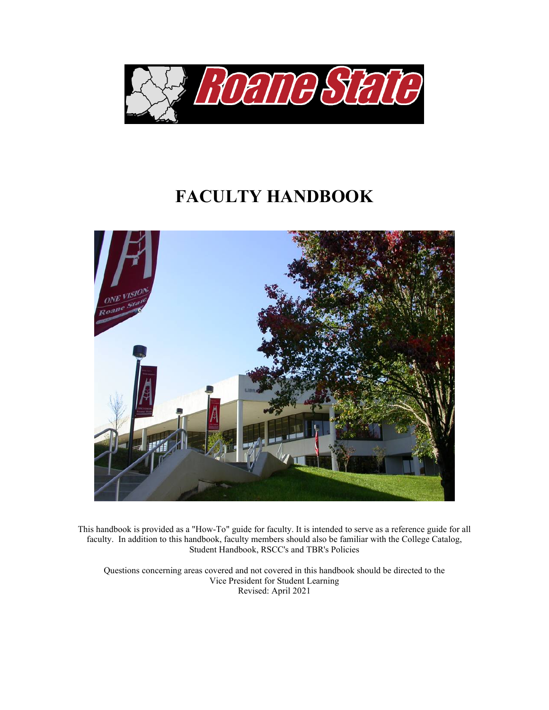

# **FACULTY HANDBOOK**



This handbook is provided as a "How-To" guide for faculty. It is intended to serve as a reference guide for all faculty. In addition to this handbook, faculty members should also be familiar with the College Catalog, Student Handbook, RSCC's and TBR's Policies

Questions concerning areas covered and not covered in this handbook should be directed to the Vice President for Student Learning Revised: April 2021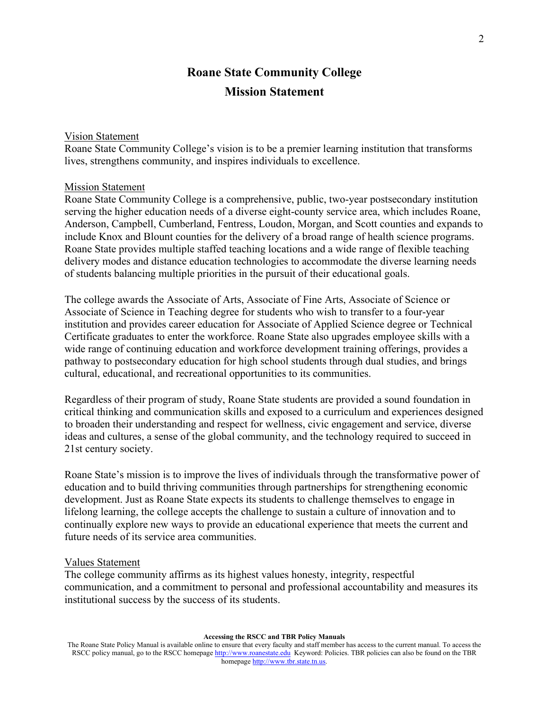# **Roane State Community College Mission Statement**

#### Vision Statement

Roane State Community College's vision is to be a premier learning institution that transforms lives, strengthens community, and inspires individuals to excellence.

#### Mission Statement

Roane State Community College is a comprehensive, public, two-year postsecondary institution serving the higher education needs of a diverse eight-county service area, which includes Roane, Anderson, Campbell, Cumberland, Fentress, Loudon, Morgan, and Scott counties and expands to include Knox and Blount counties for the delivery of a broad range of health science programs. Roane State provides multiple staffed teaching locations and a wide range of flexible teaching delivery modes and distance education technologies to accommodate the diverse learning needs of students balancing multiple priorities in the pursuit of their educational goals.

The college awards the Associate of Arts, Associate of Fine Arts, Associate of Science or Associate of Science in Teaching degree for students who wish to transfer to a four-year institution and provides career education for Associate of Applied Science degree or Technical Certificate graduates to enter the workforce. Roane State also upgrades employee skills with a wide range of continuing education and workforce development training offerings, provides a pathway to postsecondary education for high school students through dual studies, and brings cultural, educational, and recreational opportunities to its communities.

Regardless of their program of study, Roane State students are provided a sound foundation in critical thinking and communication skills and exposed to a curriculum and experiences designed to broaden their understanding and respect for wellness, civic engagement and service, diverse ideas and cultures, a sense of the global community, and the technology required to succeed in 21st century society.

Roane State's mission is to improve the lives of individuals through the transformative power of education and to build thriving communities through partnerships for strengthening economic development. Just as Roane State expects its students to challenge themselves to engage in lifelong learning, the college accepts the challenge to sustain a culture of innovation and to continually explore new ways to provide an educational experience that meets the current and future needs of its service area communities.

#### Values Statement

The college community affirms as its highest values honesty, integrity, respectful communication, and a commitment to personal and professional accountability and measures its institutional success by the success of its students.

The Roane State Policy Manual is available online to ensure that every faculty and staff member has access to the current manual. To access the RSCC policy manual, go to the RSCC homepage [http://www.roanestate.edu](http://www.roanestate.edu/) Keyword: Policies. TBR policies can also be found on the TBR homepage [http://www.tbr.state.tn.us.](http://www.tbr.state.tn.us/)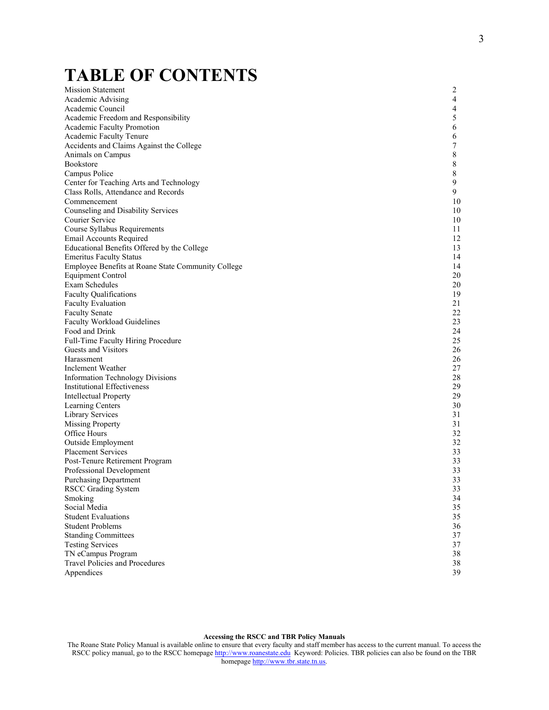# **TABLE OF CONTENTS**

Mission Statement 2 Academic Advising 4 Academic Council 4<br>Academic Freedom and Responsibility 5 Academic Freedom and Responsibility 5 Academic Faculty Promotion 6 Academic Faculty Tenure 6 Accidents and Claims Against the College 7<br>
Animals on Campus 8 Animals on Campus 8<br>Bookstore 8 Bookstore and the set of the set of the set of the set of the set of the set of the set of the set of the set of the set of the set of the set of the set of the set of the set of the set of the set of the set of the set of Campus Police 8<br>Center for Teaching Arts and Technology 9 Center for Teaching Arts and Technology 6 (2008) 1994 1995 1996 1996 1996 1997 1998 1999 1996 1999 1999 1999 1 Class Rolls, Attendance and Records Commencement 10 Counseling and Disability Services 10 Courier Service 10 Course Syllabus Requirements 11 Email Accounts Required 12 Educational Benefits Offered by the College 13<br>
Fmeritus Eaculty Status 14 Emeritus Faculty Status 14 Employee Benefits at Roane State Community College 14<br>
Equipment Control 20 Equipment Control Exam Schedules 20 Faculty Qualifications 19<br>
Faculty Evaluation 19<br>
21 Faculty Evaluation Faculty Senate 22 Faculty Workload Guidelines 23 Food and Drink 24<br>
Full-Time Faculty Hiring Procedure 25 Full-Time Faculty Hiring Procedure 25<br>
Guests and Visitors 26 Guests and Visitors Harassment 26 Inclement Weather 27 Information Technology Divisions 28<br>
Institutional Effectiveness 29 Institutional Effectiveness 29<br>
Intellectual Property 29 Intellectual Property<br>
Learning Centers
29<br>
29<br>
29<br>
29<br>
29 Learning Centers Library Services 31 Missing Property 31<br>Office Hours 32 Office Hours 32 Outside Employment 32 Placement Services 33 Post-Tenure Retirement Program 33 Professional Development 33<br>
Purchasing Department 33 Purchasing Department 33<br>RSCC Grading System 33 RSCC Grading System 33<br>
Smoking 34 Smoking 34 Social Media 35 Student Evaluations 35 Student Problems 36<br>Standing Committees 37 **Standing Committees** Testing Services 37 TN eCampus Program 38 Travel Policies and Procedures 38<br>
Appendices 39 Appendices 39

#### **Accessing the RSCC and TBR Policy Manuals**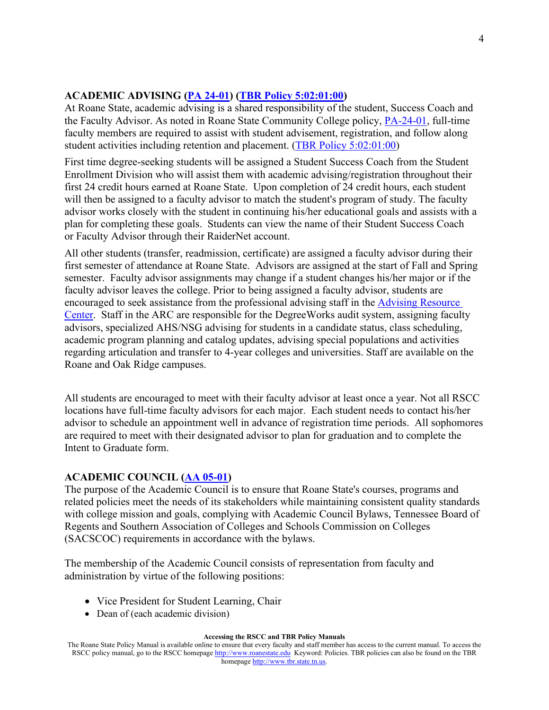### **ACADEMIC ADVISING [\(PA 24-01\)](http://www.roanestate.edu/?9232-RSCC-Policy-PA-24-01-Faculty-Job-Description) [\(TBR Policy 5:02:01:00\)](https://policies.tbr.edu/policies/definition-faculty)**

At Roane State, academic advising is a shared responsibility of the student, Success Coach and the Faculty Advisor. As noted in Roane State Community College policy, [PA-24-01,](http://www.roanestate.edu/?9232-RSCC-Policy-PA-24-01-Faculty-Job-Description) full-time faculty members are required to assist with student advisement, registration, and follow along student activities including retention and placement. [\(TBR Policy](https://policies.tbr.edu/policies/definition-faculty) 5:02:01:00)

First time degree-seeking students will be assigned a Student Success Coach from the Student Enrollment Division who will assist them with academic advising/registration throughout their first 24 credit hours earned at Roane State. Upon completion of 24 credit hours, each student will then be assigned to a faculty advisor to match the student's program of study. The faculty advisor works closely with the student in continuing his/her educational goals and assists with a plan for completing these goals. Students can view the name of their Student Success Coach or Faculty Advisor through their RaiderNet account.

All other students (transfer, readmission, certificate) are assigned a faculty advisor during their first semester of attendance at Roane State. Advisors are assigned at the start of Fall and Spring semester. Faculty advisor assignments may change if a student changes his/her major or if the faculty advisor leaves the college. Prior to being assigned a faculty advisor, students are encouraged to seek assistance from the professional advising staff in the [Advising Resource](http://www.roanestate.edu/?6-Advising-Resource-Center-ARC)  [Center.](http://www.roanestate.edu/?6-Advising-Resource-Center-ARC) Staff in the ARC are responsible for the DegreeWorks audit system, assigning faculty advisors, specialized AHS/NSG advising for students in a candidate status, class scheduling, academic program planning and catalog updates, advising special populations and activities regarding articulation and transfer to 4-year colleges and universities. Staff are available on the Roane and Oak Ridge campuses.

All students are encouraged to meet with their faculty advisor at least once a year. Not all RSCC locations have full-time faculty advisors for each major. Each student needs to contact his/her advisor to schedule an appointment well in advance of registration time periods. All sophomores are required to meet with their designated advisor to plan for graduation and to complete the Intent to Graduate form.

#### **ACADEMIC COUNCIL [\(AA 05-01\)](http://www.roanestate.edu/?7820-RSCC-Policy-AA-05-01-Academic-Council)**

The purpose of the Academic Council is to ensure that Roane State's courses, programs and related policies meet the needs of its stakeholders while maintaining consistent quality standards with college mission and goals, complying with Academic Council Bylaws, Tennessee Board of Regents and Southern Association of Colleges and Schools Commission on Colleges (SACSCOC) requirements in accordance with the bylaws.

The membership of the Academic Council consists of representation from faculty and administration by virtue of the following positions:

- Vice President for Student Learning, Chair
- Dean of (each academic division)

The Roane State Policy Manual is available online to ensure that every faculty and staff member has access to the current manual. To access the RSCC policy manual, go to the RSCC homepage [http://www.roanestate.edu](http://www.roanestate.edu/) Keyword: Policies. TBR policies can also be found on the TBR homepage [http://www.tbr.state.tn.us.](http://www.tbr.state.tn.us/)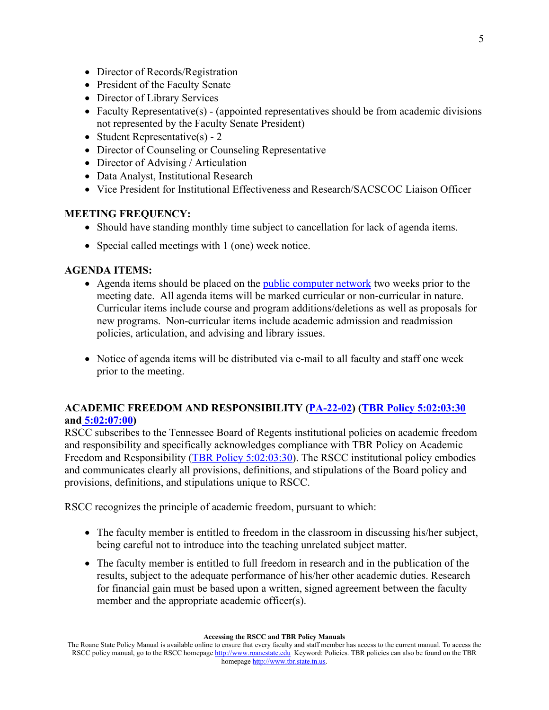- Director of Records/Registration
- President of the Faculty Senate
- Director of Library Services
- Faculty Representative(s) (appointed representatives should be from academic divisions not represented by the Faculty Senate President)
- Student Representative(s) 2
- Director of Counseling or Counseling Representative
- Director of Advising / Articulation
- Data Analyst, Institutional Research
- Vice President for Institutional Effectiveness and Research/SACSCOC Liaison Officer

#### **MEETING FREQUENCY:**

- Should have standing monthly time subject to cancellation for lack of agenda items.
- Special called meetings with 1 (one) week notice.

#### **AGENDA ITEMS:**

- Agenda items should be placed on the [public computer network](file://nassrv/ACADCSL) two weeks prior to the meeting date. All agenda items will be marked curricular or non-curricular in nature. Curricular items include course and program additions/deletions as well as proposals for new programs. Non-curricular items include academic admission and readmission policies, articulation, and advising and library issues.
- Notice of agenda items will be distributed via e-mail to all faculty and staff one week prior to the meeting.

### **ACADEMIC FREEDOM AND RESPONSIBILITY [\(PA-22-02\)](http://www.roanestate.edu/?9231-RSCC-Policy-PA-22-02-Academic-Freedom-and-Responsibility) [\(TBR Policy](https://policies.tbr.edu/policies/academic-freedom-and-responsibility) 5:02:03:30 and [5:02:07:00\)](https://policies.tbr.edu/policies/faculty-appointments-community-colleges)**

RSCC subscribes to the Tennessee Board of Regents institutional policies on academic freedom and responsibility and specifically acknowledges compliance with TBR Policy on Academic Freedom and Responsibility [\(TBR Policy 5:02:03:30\)](https://policies.tbr.edu/policies/academic-freedom-and-responsibility). The RSCC institutional policy embodies and communicates clearly all provisions, definitions, and stipulations of the Board policy and provisions, definitions, and stipulations unique to RSCC.

RSCC recognizes the principle of academic freedom, pursuant to which:

- The faculty member is entitled to freedom in the classroom in discussing his/her subject, being careful not to introduce into the teaching unrelated subject matter.
- The faculty member is entitled to full freedom in research and in the publication of the results, subject to the adequate performance of his/her other academic duties. Research for financial gain must be based upon a written, signed agreement between the faculty member and the appropriate academic officer(s).

The Roane State Policy Manual is available online to ensure that every faculty and staff member has access to the current manual. To access the RSCC policy manual, go to the RSCC homepage [http://www.roanestate.edu](http://www.roanestate.edu/) Keyword: Policies. TBR policies can also be found on the TBR homepage [http://www.tbr.state.tn.us.](http://www.tbr.state.tn.us/)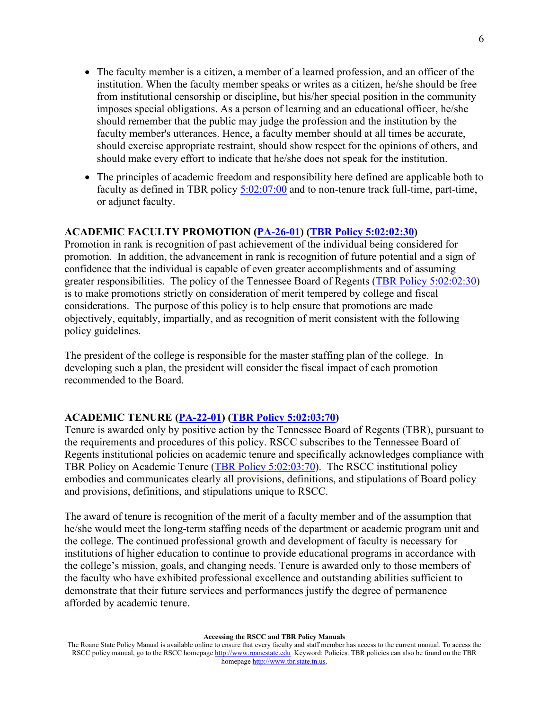- The faculty member is a citizen, a member of a learned profession, and an officer of the institution. When the faculty member speaks or writes as a citizen, he/she should be free from institutional censorship or discipline, but his/her special position in the community imposes special obligations. As a person of learning and an educational officer, he/she should remember that the public may judge the profession and the institution by the faculty member's utterances. Hence, a faculty member should at all times be accurate, should exercise appropriate restraint, should show respect for the opinions of others, and should make every effort to indicate that he/she does not speak for the institution.
- The principles of academic freedom and responsibility here defined are applicable both to faculty as defined in TBR policy [5:02:07:00](https://policies.tbr.edu/policies/faculty-appointments-community-colleges) and to non-tenure track full-time, part-time, or adjunct faculty.

### **ACADEMIC FACULTY PROMOTION [\(PA-26-01\)](http://www.roanestate.edu/?9233-RSCC-Policy-PA-26-01-Faculty-Promotion) [\(TBR Policy](https://policies.tbr.edu/policies/faculty-promotion-community-colleges) 5:02:02:30)**

Promotion in rank is recognition of past achievement of the individual being considered for promotion. In addition, the advancement in rank is recognition of future potential and a sign of confidence that the individual is capable of even greater accomplishments and of assuming greater responsibilities. The policy of the Tennessee Board of Regents [\(TBR Policy 5:02:02:30\)](https://policies.tbr.edu/policies/faculty-promotion-community-colleges) is to make promotions strictly on consideration of merit tempered by college and fiscal considerations. The purpose of this policy is to help ensure that promotions are made objectively, equitably, impartially, and as recognition of merit consistent with the following policy guidelines.

The president of the college is responsible for the master staffing plan of the college. In developing such a plan, the president will consider the fiscal impact of each promotion recommended to the Board.

#### **ACADEMIC TENURE [\(PA-22-01\)](http://www.roanestate.edu/?9260-RSCC-Policy-PA-22-01-Academic-Tenure) [\(TBR Policy](https://policies.tbr.edu/policies/academic-tenure-community-colleges) 5:02:03:70)**

Tenure is awarded only by positive action by the Tennessee Board of Regents (TBR), pursuant to the requirements and procedures of this policy. RSCC subscribes to the Tennessee Board of Regents institutional policies on academic tenure and specifically acknowledges compliance with TBR Policy on Academic Tenure [\(TBR Policy 5:02:03:70\)](https://policies.tbr.edu/policies/academic-tenure-community-colleges). The RSCC institutional policy embodies and communicates clearly all provisions, definitions, and stipulations of Board policy and provisions, definitions, and stipulations unique to RSCC.

The award of tenure is recognition of the merit of a faculty member and of the assumption that he/she would meet the long-term staffing needs of the department or academic program unit and the college. The continued professional growth and development of faculty is necessary for institutions of higher education to continue to provide educational programs in accordance with the college's mission, goals, and changing needs. Tenure is awarded only to those members of the faculty who have exhibited professional excellence and outstanding abilities sufficient to demonstrate that their future services and performances justify the degree of permanence afforded by academic tenure.

The Roane State Policy Manual is available online to ensure that every faculty and staff member has access to the current manual. To access the RSCC policy manual, go to the RSCC homepage [http://www.roanestate.edu](http://www.roanestate.edu/) Keyword: Policies. TBR policies can also be found on the TBR homepage [http://www.tbr.state.tn.us.](http://www.tbr.state.tn.us/)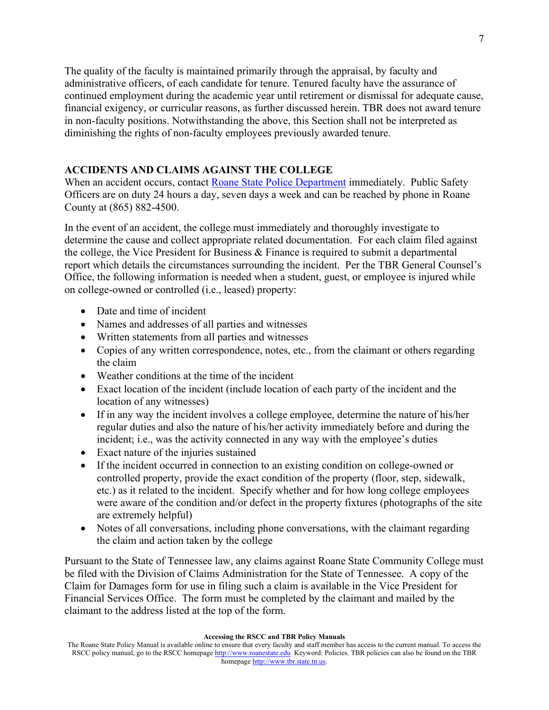The quality of the faculty is maintained primarily through the appraisal, by faculty and administrative officers, of each candidate for tenure. Tenured faculty have the assurance of continued employment during the academic year until retirement or dismissal for adequate cause, financial exigency, or curricular reasons, as further discussed herein. TBR does not award tenure in non-faculty positions. Notwithstanding the above, this Section shall not be interpreted as diminishing the rights of non-faculty employees previously awarded tenure.

### **ACCIDENTS AND CLAIMS AGAINST THE COLLEGE**

When an accident occurs, contact [Roane State Police Department](http://www.roanestate.edu/?6826-Roane-State-Police-Department) immediately. Public Safety Officers are on duty 24 hours a day, seven days a week and can be reached by phone in Roane County at (865) 882-4500.

In the event of an accident, the college must immediately and thoroughly investigate to determine the cause and collect appropriate related documentation. For each claim filed against the college, the Vice President for Business & Finance is required to submit a departmental report which details the circumstances surrounding the incident. Per the TBR General Counsel's Office, the following information is needed when a student, guest, or employee is injured while on college-owned or controlled (i.e., leased) property:

- Date and time of incident
- Names and addresses of all parties and witnesses
- Written statements from all parties and witnesses
- Copies of any written correspondence, notes, etc., from the claimant or others regarding the claim
- Weather conditions at the time of the incident
- Exact location of the incident (include location of each party of the incident and the location of any witnesses)
- If in any way the incident involves a college employee, determine the nature of his/her regular duties and also the nature of his/her activity immediately before and during the incident; i.e., was the activity connected in any way with the employee's duties
- Exact nature of the injuries sustained
- If the incident occurred in connection to an existing condition on college-owned or controlled property, provide the exact condition of the property (floor, step, sidewalk, etc.) as it related to the incident. Specify whether and for how long college employees were aware of the condition and/or defect in the property fixtures (photographs of the site are extremely helpful)
- Notes of all conversations, including phone conversations, with the claimant regarding the claim and action taken by the college

Pursuant to the State of Tennessee law, any claims against Roane State Community College must be filed with the Division of Claims Administration for the State of Tennessee. A copy of the Claim for Damages form for use in filing such a claim is available in the Vice President for Financial Services Office. The form must be completed by the claimant and mailed by the claimant to the address listed at the top of the form.

The Roane State Policy Manual is available online to ensure that every faculty and staff member has access to the current manual. To access the RSCC policy manual, go to the RSCC homepage [http://www.roanestate.edu](http://www.roanestate.edu/) Keyword: Policies. TBR policies can also be found on the TBR homepage [http://www.tbr.state.tn.us.](http://www.tbr.state.tn.us/)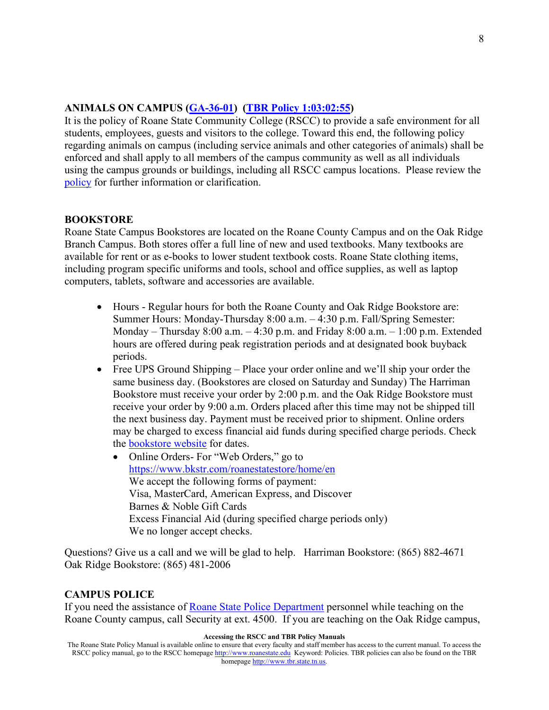### **ANIMALS ON CAMPUS [\(GA-36-01\)](http://www.roanestate.edu/?9219-RSCC-Policy-GA-36-01-Animals-on-Campus) [\(TBR Policy](https://policies.tbr.edu/policies/animals-tennessee-board-regents-campuses) 1:03:02:55)**

It is the policy of Roane State Community College (RSCC) to provide a safe environment for all students, employees, guests and visitors to the college. Toward this end, the following policy regarding animals on campus (including service animals and other categories of animals) shall be enforced and shall apply to all members of the campus community as well as all individuals using the campus grounds or buildings, including all RSCC campus locations. Please review the [policy](http://www.roanestate.edu/?9219-RSCC-Policy-GA-36-01-Animals-on-Campus) for further information or clarification.

#### **BOOKSTORE**

Roane State Campus Bookstores are located on the Roane County Campus and on the Oak Ridge Branch Campus. Both stores offer a full line of new and used textbooks. Many textbooks are available for rent or as e-books to lower student textbook costs. Roane State clothing items, including program specific uniforms and tools, school and office supplies, as well as laptop computers, tablets, software and accessories are available.

- Hours Regular hours for both the Roane County and Oak Ridge Bookstore are: Summer Hours: Monday-Thursday 8:00 a.m. – 4:30 p.m. Fall/Spring Semester: Monday – Thursday  $8:00$  a.m.  $-4:30$  p.m. and Friday  $8:00$  a.m.  $-1:00$  p.m. Extended hours are offered during peak registration periods and at designated book buyback periods.
- Free UPS Ground Shipping Place your order online and we'll ship your order the same business day. (Bookstores are closed on Saturday and Sunday) The Harriman Bookstore must receive your order by 2:00 p.m. and the Oak Ridge Bookstore must receive your order by 9:00 a.m. Orders placed after this time may not be shipped till the next business day. Payment must be received prior to shipment. Online orders may be charged to excess financial aid funds during specified charge periods. Check the [bookstore](http://www.roanestate.edu/?55-Bookstores) website for dates.
	- Online Orders- For "Web Orders," go to <https://www.bkstr.com/roanestatestore/home/en> We accept the following forms of payment: Visa, MasterCard, American Express, and Discover Barnes & Noble Gift Cards Excess Financial Aid (during specified charge periods only) We no longer accept checks.

Questions? Give us a call and we will be glad to help. Harriman Bookstore: (865) 882-4671 Oak Ridge Bookstore: (865) 481-2006

#### **CAMPUS POLICE**

If you need the assistance of [Roane State Police Department](http://www.roanestate.edu/?6826-Roane-State-Police-Department) personnel while teaching on the Roane County campus, call Security at ext. 4500. If you are teaching on the Oak Ridge campus,

#### **Accessing the RSCC and TBR Policy Manuals**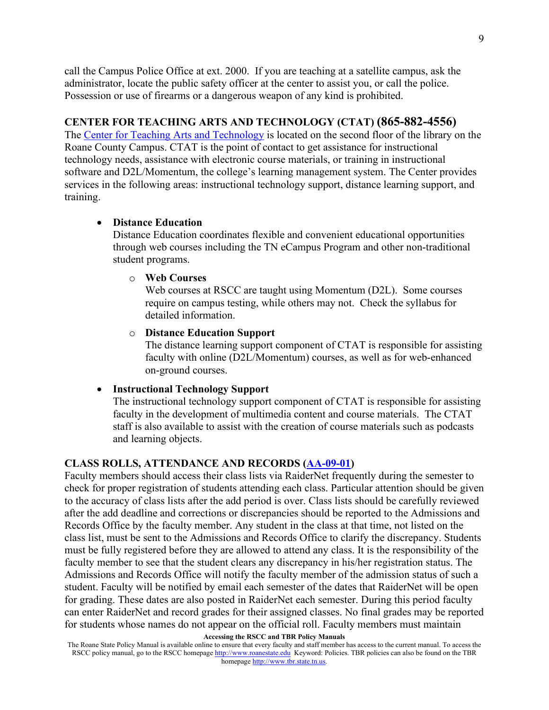call the Campus Police Office at ext. 2000. If you are teaching at a satellite campus, ask the administrator, locate the public safety officer at the center to assist you, or call the police. Possession or use of firearms or a dangerous weapon of any kind is prohibited.

#### **CENTER FOR TEACHING ARTS AND TECHNOLOGY (CTAT) (865-882-4556)**

The [Center for Teaching Arts and Technology](http://ctat.roanestate.edu/) is located on the second floor of the library on the Roane County Campus. CTAT is the point of contact to get assistance for instructional technology needs, assistance with electronic course materials, or training in instructional software and D2L/Momentum, the college's learning management system. The Center provides services in the following areas: instructional technology support, distance learning support, and training.

#### • **Distance Education**

Distance Education coordinates flexible and convenient educational opportunities through web courses including the TN eCampus Program and other non-traditional student programs.

#### o **Web Courses**

Web courses at RSCC are taught using Momentum (D2L). Some courses require on campus testing, while others may not. Check the syllabus for detailed information.

#### o **Distance Education Support**

The distance learning support component of CTAT is responsible for assisting faculty with online (D2L/Momentum) courses, as well as for web-enhanced on-ground courses.

#### • **Instructional Technology Support**

The instructional technology support component of CTAT is responsible for assisting faculty in the development of multimedia content and course materials. The CTAT staff is also available to assist with the creation of course materials such as podcasts and learning objects.

#### **CLASS ROLLS, ATTENDANCE AND RECORDS [\(AA-09-01\)](http://www.roanestate.edu/?7848-RSCC-Policy-AA-09-01-Class-Rolls-Attendance-Records)**

Faculty members should access their class lists via RaiderNet frequently during the semester to check for proper registration of students attending each class. Particular attention should be given to the accuracy of class lists after the add period is over. Class lists should be carefully reviewed after the add deadline and corrections or discrepancies should be reported to the Admissions and Records Office by the faculty member. Any student in the class at that time, not listed on the class list, must be sent to the Admissions and Records Office to clarify the discrepancy. Students must be fully registered before they are allowed to attend any class. It is the responsibility of the faculty member to see that the student clears any discrepancy in his/her registration status. The Admissions and Records Office will notify the faculty member of the admission status of such a student. Faculty will be notified by email each semester of the dates that RaiderNet will be open for grading. These dates are also posted in RaiderNet each semester. During this period faculty can enter RaiderNet and record grades for their assigned classes. No final grades may be reported for students whose names do not appear on the official roll. Faculty members must maintain

The Roane State Policy Manual is available online to ensure that every faculty and staff member has access to the current manual. To access the RSCC policy manual, go to the RSCC homepage [http://www.roanestate.edu](http://www.roanestate.edu/) Keyword: Policies. TBR policies can also be found on the TBR homepage [http://www.tbr.state.tn.us.](http://www.tbr.state.tn.us/)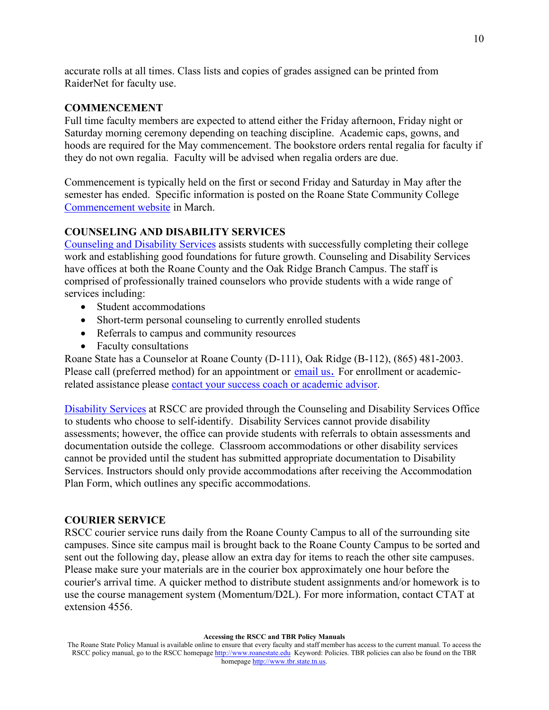accurate rolls at all times. Class lists and copies of grades assigned can be printed from RaiderNet for faculty use.

#### **COMMENCEMENT**

Full time faculty members are expected to attend either the Friday afternoon, Friday night or Saturday morning ceremony depending on teaching discipline. Academic caps, gowns, and hoods are required for the May commencement. The bookstore orders rental regalia for faculty if they do not own regalia. Faculty will be advised when regalia orders are due.

Commencement is typically held on the first or second Friday and Saturday in May after the semester has ended. Specific information is posted on the Roane State Community College [Commencement website](http://www.roanestate.edu/?97-Graduation-Ceremony) in March.

### **COUNSELING AND DISABILITY SERVICES**

[Counseling and Disability Services](http://www.roanestate.edu/?5490-Counseling-Services) assists students with successfully completing their college work and establishing good foundations for future growth. Counseling and Disability Services have offices at both the Roane County and the Oak Ridge Branch Campus. The staff is comprised of professionally trained counselors who provide students with a wide range of services including:

- Student accommodations
- Short-term personal counseling to currently enrolled students
- Referrals to campus and community resources
- Faculty consultations

Roane State has a Counselor at Roane County (D-111), Oak Ridge (B-112), (865) 481-2003. Please call (preferred method) for an appointment or [email us](http://www.roanestate.edu/help/people/?name=messamore)[.](http://www.roanestate.edu/help/people/?name=messamore) For enrollment or academicrelated assistance please [contact your success coach or academic advisor.](http://www.roanestate.edu/?7604-Finding-Your-Success-Coach-and-Academic-Advisor-Changing-Majors)

[Disability Services](http://www.roanestate.edu/?5488-Disability-Services) at RSCC are provided through the Counseling and Disability Services Office to students who choose to self-identify. Disability Services cannot provide disability assessments; however, the office can provide students with referrals to obtain assessments and documentation outside the college. Classroom accommodations or other disability services cannot be provided until the student has submitted appropriate documentation to Disability Services. Instructors should only provide accommodations after receiving the Accommodation Plan Form, which outlines any specific accommodations.

#### **COURIER SERVICE**

RSCC courier service runs daily from the Roane County Campus to all of the surrounding site campuses. Since site campus mail is brought back to the Roane County Campus to be sorted and sent out the following day, please allow an extra day for items to reach the other site campuses. Please make sure your materials are in the courier box approximately one hour before the courier's arrival time. A quicker method to distribute student assignments and/or homework is to use the course management system (Momentum/D2L). For more information, contact CTAT at extension 4556.

The Roane State Policy Manual is available online to ensure that every faculty and staff member has access to the current manual. To access the RSCC policy manual, go to the RSCC homepage [http://www.roanestate.edu](http://www.roanestate.edu/) Keyword: Policies. TBR policies can also be found on the TBR homepage [http://www.tbr.state.tn.us.](http://www.tbr.state.tn.us/)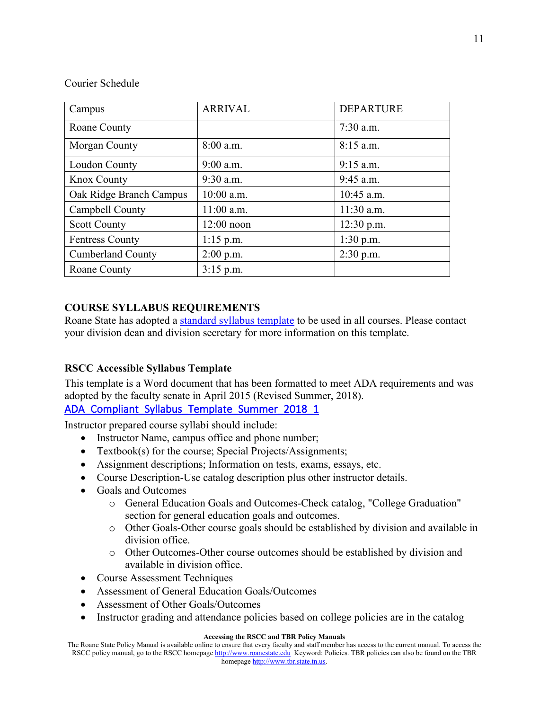### Courier Schedule

| Campus                   | <b>ARRIVAL</b> | <b>DEPARTURE</b> |
|--------------------------|----------------|------------------|
| Roane County             |                | $7:30$ a.m.      |
| Morgan County            | $8:00$ a.m.    | $8:15$ a.m.      |
| Loudon County            | $9:00$ a.m.    | $9:15$ a.m.      |
| <b>Knox County</b>       | $9:30$ a.m.    | $9:45$ a.m.      |
| Oak Ridge Branch Campus  | $10:00$ a.m.   | $10:45$ a.m.     |
| Campbell County          | 11:00 a.m.     | $11:30$ a.m.     |
| <b>Scott County</b>      | $12:00$ noon   | $12:30$ p.m.     |
| <b>Fentress County</b>   | $1:15$ p.m.    | $1:30$ p.m.      |
| <b>Cumberland County</b> | $2:00$ p.m.    | $2:30$ p.m.      |
| Roane County             | $3:15$ p.m.    |                  |

# **COURSE SYLLABUS REQUIREMENTS**

Roane State has adopted a [standard syllabus template](http://ctat.roanestate.edu/accessibility/) to be used in all courses. Please contact your division dean and division secretary for more information on this template.

## **RSCC Accessible Syllabus Template**

This template is a Word document that has been formatted to meet ADA requirements and was adopted by the faculty senate in April 2015 (Revised Summer, 2018).

ADA Compliant Syllabus Template Summer 2018 1

Instructor prepared course syllabi should include:

- Instructor Name, campus office and phone number;
- Textbook(s) for the course; Special Projects/Assignments;
- Assignment descriptions; Information on tests, exams, essays, etc.
- Course Description-Use catalog description plus other instructor details.
- Goals and Outcomes
	- o General Education Goals and Outcomes-Check catalog, "College Graduation" section for general education goals and outcomes.
	- o Other Goals-Other course goals should be established by division and available in division office.
	- o Other Outcomes-Other course outcomes should be established by division and available in division office.
- Course Assessment Techniques
- Assessment of General Education Goals/Outcomes
- Assessment of Other Goals/Outcomes
- Instructor grading and attendance policies based on college policies are in the catalog

#### **Accessing the RSCC and TBR Policy Manuals**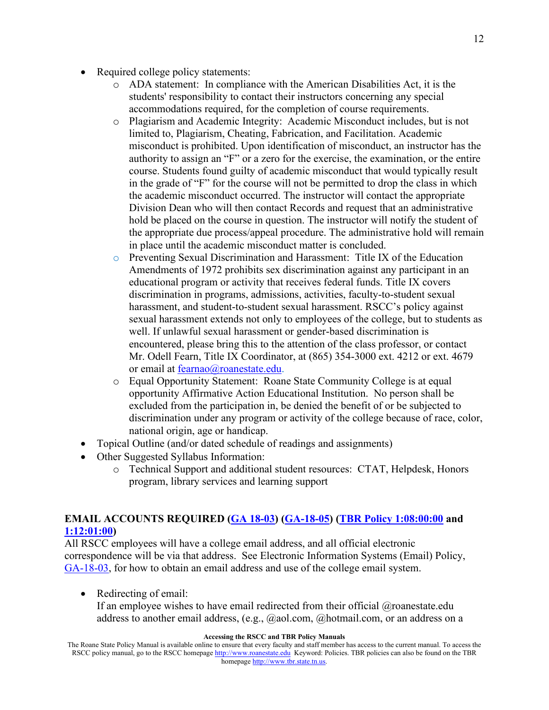- Required college policy statements:
	- o ADA statement: In compliance with the American Disabilities Act, it is the students' responsibility to contact their instructors concerning any special accommodations required, for the completion of course requirements.
	- o Plagiarism and Academic Integrity: Academic Misconduct includes, but is not limited to, Plagiarism, Cheating, Fabrication, and Facilitation. Academic misconduct is prohibited. Upon identification of misconduct, an instructor has the authority to assign an "F" or a zero for the exercise, the examination, or the entire course. Students found guilty of academic misconduct that would typically result in the grade of "F" for the course will not be permitted to drop the class in which the academic misconduct occurred. The instructor will contact the appropriate Division Dean who will then contact Records and request that an administrative hold be placed on the course in question. The instructor will notify the student of the appropriate due process/appeal procedure. The administrative hold will remain in place until the academic misconduct matter is concluded.
	- o Preventing Sexual Discrimination and Harassment: Title IX of the Education Amendments of 1972 prohibits sex discrimination against any participant in an educational program or activity that receives federal funds. Title IX covers discrimination in programs, admissions, activities, faculty-to-student sexual harassment, and student-to-student sexual harassment. RSCC's policy against sexual harassment extends not only to employees of the college, but to students as well. If unlawful sexual harassment or gender-based discrimination is encountered, please bring this to the attention of the class professor, or contact Mr. Odell Fearn, Title IX Coordinator, at (865) 354-3000 ext. 4212 or ext. 4679 or email at [fearnao@roanestate.edu.](mailto:fearnao@roanestate.edu)
	- o Equal Opportunity Statement: Roane State Community College is at equal opportunity Affirmative Action Educational Institution. No person shall be excluded from the participation in, be denied the benefit of or be subjected to discrimination under any program or activity of the college because of race, color, national origin, age or handicap.
- Topical Outline (and/or dated schedule of readings and assignments)
- Other Suggested Syllabus Information:
	- o Technical Support and additional student resources: CTAT, Helpdesk, Honors program, library services and learning support

## **EMAIL ACCOUNTS REQUIRED [\(GA 18-03\)](https://www.roanestate.edu/?9190-RSCC-Policy-GA-18-03-Electronic-Information-Systems-Email) [\(GA-18-05\)](http://www.roanestate.edu/?9191-RSCC-Policy-GA-18-05-Use-of-Email-as-Official-Correspondence) [\(TBR Policy 1:08:00:00](https://policies.tbr.edu/policies/information-technology-resources) and [1:12:01:00\)](https://policies.tbr.edu/policies/records-retention-and-disposal-records-formerly-g-070)**

All RSCC employees will have a college email address, and all official electronic correspondence will be via that address. See Electronic Information Systems (Email) Policy, [GA-18-03,](http://www.roanestate.edu/?9190-RSCC-Policy-GA-18-03-Electronic-Information-Systems-Email) for how to obtain an email address and use of the college email system.

• Redirecting of email:

If an employee wishes to have email redirected from their official @roanestate.edu address to another email address, (e.g., @aol.com, @hotmail.com, or an address on a

#### **Accessing the RSCC and TBR Policy Manuals**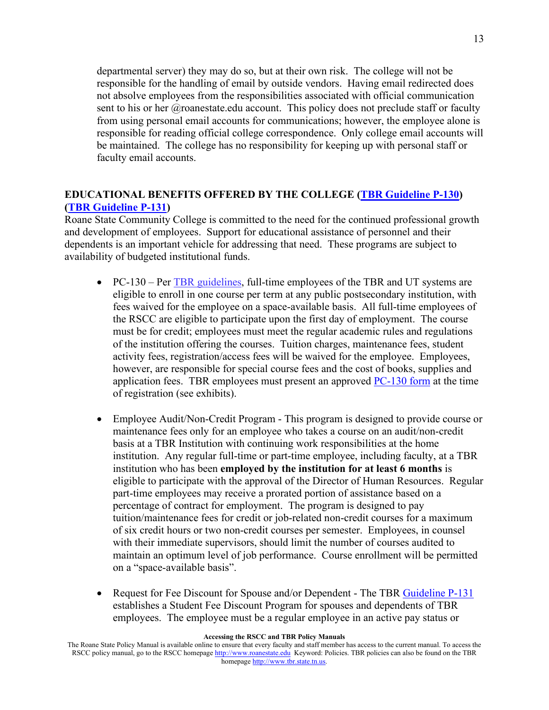departmental server) they may do so, but at their own risk. The college will not be responsible for the handling of email by outside vendors. Having email redirected does not absolve employees from the responsibilities associated with official communication sent to his or her  $@$ roanestate.edu account. This policy does not preclude staff or faculty from using personal email accounts for communications; however, the employee alone is responsible for reading official college correspondence. Only college email accounts will be maintained. The college has no responsibility for keeping up with personal staff or faculty email accounts.

### **EDUCATIONAL BENEFITS OFFERED BY THE COLLEGE [\(TBR Guideline P-130\)](https://policies.tbr.edu/guidelines/educational-assistance-tbr-system-employees) [\(TBR Guideline P-131\)](https://policies.tbr.edu/guidelines/educational-assistance-spouse-dependents-tbr-employees)**

Roane State Community College is committed to the need for the continued professional growth and development of employees. Support for educational assistance of personnel and their dependents is an important vehicle for addressing that need. These programs are subject to availability of budgeted institutional funds.

- PC-130 Per [TBR guidelines,](https://policies.tbr.edu/guidelines/educational-assistance-tbr-system-employees) full-time employees of the TBR and UT systems are eligible to enroll in one course per term at any public postsecondary institution, with fees waived for the employee on a space-available basis. All full-time employees of the RSCC are eligible to participate upon the first day of employment. The course must be for credit; employees must meet the regular academic rules and regulations of the institution offering the courses. Tuition charges, maintenance fees, student activity fees, registration/access fees will be waived for the employee. Employees, however, are responsible for special course fees and the cost of books, supplies and application fees. TBR employees must present an approved [PC-130](https://policies.tbr.edu/guidelines/educational-assistance-tbr-system-employees) form at the time of registration (see exhibits).
- Employee Audit/Non-Credit Program This program is designed to provide course or maintenance fees only for an employee who takes a course on an audit/non-credit basis at a TBR Institution with continuing work responsibilities at the home institution. Any regular full-time or part-time employee, including faculty, at a TBR institution who has been **employed by the institution for at least 6 months** is eligible to participate with the approval of the Director of Human Resources. Regular part-time employees may receive a prorated portion of assistance based on a percentage of contract for employment. The program is designed to pay tuition/maintenance fees for credit or job-related non-credit courses for a maximum of six credit hours or two non-credit courses per semester. Employees, in counsel with their immediate supervisors, should limit the number of courses audited to maintain an optimum level of job performance. Course enrollment will be permitted on a "space-available basis".
- Request for Fee Discount for Spouse and/or Dependent The TBR [Guideline P-131](https://policies.tbr.edu/guidelines/educational-assistance-spouse-dependents-tbr-employees) establishes a Student Fee Discount Program for spouses and dependents of TBR employees. The employee must be a regular employee in an active pay status or

#### **Accessing the RSCC and TBR Policy Manuals**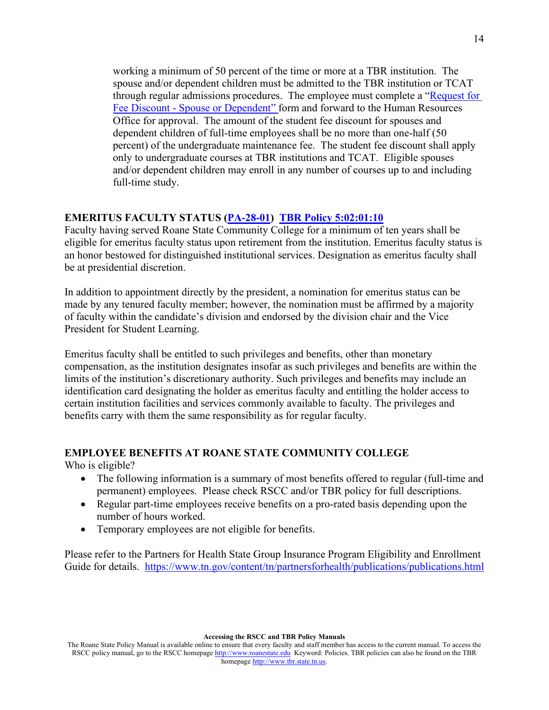working a minimum of 50 percent of the time or more at a TBR institution. The spouse and/or dependent children must be admitted to the TBR institution or TCAT through regular admissions procedures. The employee must complete a ["Request for](https://policies.tbr.edu/system/files/exhibits/P-131%20Ex%201%20Request%20for%20Fee%20Discount.docx)  Fee Discount - [Spouse or Dependent" f](https://policies.tbr.edu/system/files/exhibits/P-131%20Ex%201%20Request%20for%20Fee%20Discount.docx)orm and forward to the Human Resources Office for approval. The amount of the student fee discount for spouses and dependent children of full-time employees shall be no more than one-half (50 percent) of the undergraduate maintenance fee. The student fee discount shall apply only to undergraduate courses at TBR institutions and TCAT. Eligible spouses and/or dependent children may enroll in any number of courses up to and including full-time study.

### **EMERITUS FACULTY STATUS [\(PA-28-01\)](http://www.roanestate.edu/?9236-RSCC-Policy-PA-28-01-Emeritus-Faculty-Status) [TBR Policy](https://policies.tbr.edu/policies/faculty-emeritus) 5:02:01:10**

Faculty having served Roane State Community College for a minimum of ten years shall be eligible for emeritus faculty status upon retirement from the institution. Emeritus faculty status is an honor bestowed for distinguished institutional services. Designation as emeritus faculty shall be at presidential discretion.

In addition to appointment directly by the president, a nomination for emeritus status can be made by any tenured faculty member; however, the nomination must be affirmed by a majority of faculty within the candidate's division and endorsed by the division chair and the Vice President for Student Learning.

Emeritus faculty shall be entitled to such privileges and benefits, other than monetary compensation, as the institution designates insofar as such privileges and benefits are within the limits of the institution's discretionary authority. Such privileges and benefits may include an identification card designating the holder as emeritus faculty and entitling the holder access to certain institution facilities and services commonly available to faculty. The privileges and benefits carry with them the same responsibility as for regular faculty.

#### **EMPLOYEE BENEFITS AT ROANE STATE COMMUNITY COLLEGE**

Who is eligible?

- The following information is a summary of most benefits offered to regular (full-time and permanent) employees. Please check RSCC and/or TBR policy for full descriptions.
- Regular part-time employees receive benefits on a pro-rated basis depending upon the number of hours worked.
- Temporary employees are not eligible for benefits.

Please refer to the Partners for Health State Group Insurance Program Eligibility and Enrollment Guide for details. <https://www.tn.gov/content/tn/partnersforhealth/publications/publications.html>

The Roane State Policy Manual is available online to ensure that every faculty and staff member has access to the current manual. To access the RSCC policy manual, go to the RSCC homepage [http://www.roanestate.edu](http://www.roanestate.edu/) Keyword: Policies. TBR policies can also be found on the TBR homepage [http://www.tbr.state.tn.us.](http://www.tbr.state.tn.us/)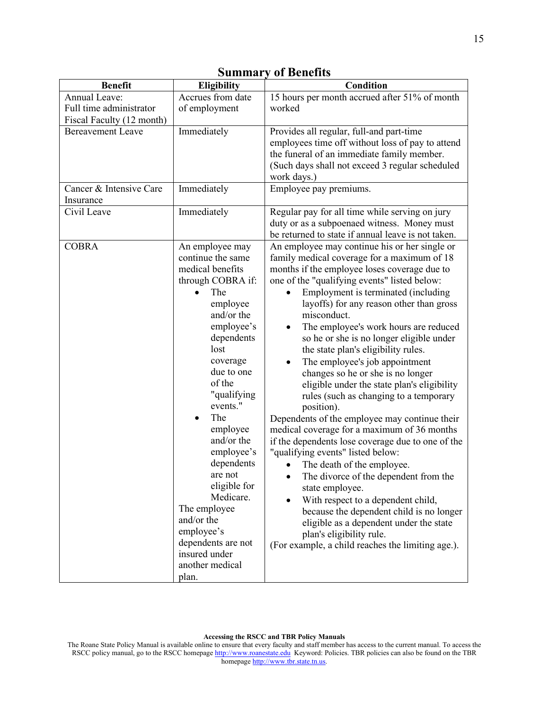| <b>Benefit</b>            | <b>Eligibility</b>     | Condition                                                                       |
|---------------------------|------------------------|---------------------------------------------------------------------------------|
| Annual Leave:             | Accrues from date      | 15 hours per month accrued after 51% of month                                   |
| Full time administrator   | of employment          | worked                                                                          |
| Fiscal Faculty (12 month) |                        |                                                                                 |
| <b>Bereavement Leave</b>  | Immediately            | Provides all regular, full-and part-time                                        |
|                           |                        | employees time off without loss of pay to attend                                |
|                           |                        | the funeral of an immediate family member.                                      |
|                           |                        | (Such days shall not exceed 3 regular scheduled<br>work days.)                  |
| Cancer & Intensive Care   | Immediately            | Employee pay premiums.                                                          |
| Insurance                 |                        |                                                                                 |
| Civil Leave               | Immediately            | Regular pay for all time while serving on jury                                  |
|                           |                        | duty or as a subpoenaed witness. Money must                                     |
|                           |                        | be returned to state if annual leave is not taken.                              |
| <b>COBRA</b>              | An employee may        | An employee may continue his or her single or                                   |
|                           | continue the same      | family medical coverage for a maximum of 18                                     |
|                           | medical benefits       | months if the employee loses coverage due to                                    |
|                           | through COBRA if:      | one of the "qualifying events" listed below:                                    |
|                           | The                    | Employment is terminated (including                                             |
|                           | employee<br>and/or the | layoffs) for any reason other than gross                                        |
|                           | employee's             | misconduct.                                                                     |
|                           | dependents             | The employee's work hours are reduced                                           |
|                           | lost                   | so he or she is no longer eligible under<br>the state plan's eligibility rules. |
|                           | coverage               | The employee's job appointment                                                  |
|                           | due to one             | changes so he or she is no longer                                               |
|                           | of the                 | eligible under the state plan's eligibility                                     |
|                           | "qualifying            | rules (such as changing to a temporary                                          |
|                           | events."               | position).                                                                      |
|                           | The                    | Dependents of the employee may continue their                                   |
|                           | employee               | medical coverage for a maximum of 36 months                                     |
|                           | and/or the             | if the dependents lose coverage due to one of the                               |
|                           | employee's             | "qualifying events" listed below:                                               |
|                           | dependents             | The death of the employee.                                                      |
|                           | are not                | The divorce of the dependent from the                                           |
|                           | eligible for           | state employee.                                                                 |
|                           | Medicare.              | With respect to a dependent child,                                              |
|                           | The employee           | because the dependent child is no longer                                        |
|                           | and/or the             | eligible as a dependent under the state                                         |
|                           | employee's             | plan's eligibility rule.                                                        |
|                           | dependents are not     | (For example, a child reaches the limiting age.).                               |
|                           | insured under          |                                                                                 |
|                           | another medical        |                                                                                 |
|                           | plan.                  |                                                                                 |

# **Summary of Benefits**

**Accessing the RSCC and TBR Policy Manuals**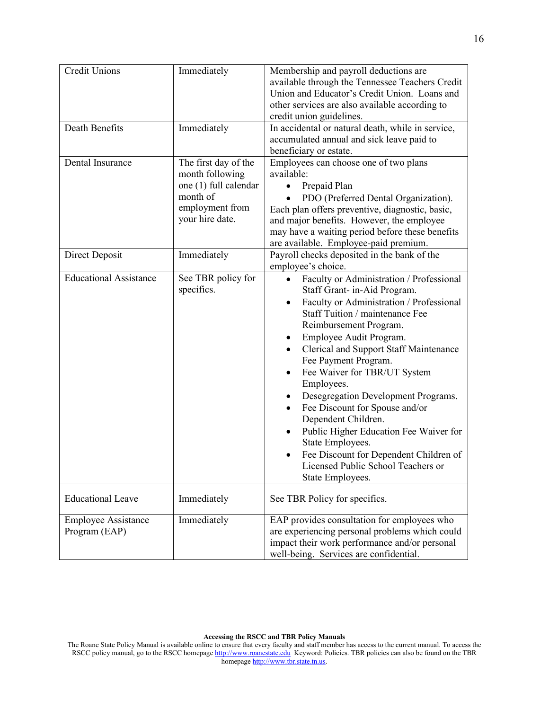| <b>Credit Unions</b><br>Death Benefits      | Immediately<br>Immediately                                                                                         | Membership and payroll deductions are<br>available through the Tennessee Teachers Credit<br>Union and Educator's Credit Union. Loans and<br>other services are also available according to<br>credit union guidelines.<br>In accidental or natural death, while in service,<br>accumulated annual and sick leave paid to<br>beneficiary or estate.                                                                                                                                                                                                                                                                        |
|---------------------------------------------|--------------------------------------------------------------------------------------------------------------------|---------------------------------------------------------------------------------------------------------------------------------------------------------------------------------------------------------------------------------------------------------------------------------------------------------------------------------------------------------------------------------------------------------------------------------------------------------------------------------------------------------------------------------------------------------------------------------------------------------------------------|
| Dental Insurance                            | The first day of the<br>month following<br>one (1) full calendar<br>month of<br>employment from<br>your hire date. | Employees can choose one of two plans<br>available:<br>Prepaid Plan<br>PDO (Preferred Dental Organization).<br>Each plan offers preventive, diagnostic, basic,<br>and major benefits. However, the employee<br>may have a waiting period before these benefits<br>are available. Employee-paid premium.                                                                                                                                                                                                                                                                                                                   |
| Direct Deposit                              | Immediately                                                                                                        | Payroll checks deposited in the bank of the<br>employee's choice.                                                                                                                                                                                                                                                                                                                                                                                                                                                                                                                                                         |
| <b>Educational Assistance</b>               | See TBR policy for<br>specifics.                                                                                   | Faculty or Administration / Professional<br>Staff Grant- in-Aid Program.<br>Faculty or Administration / Professional<br>٠<br>Staff Tuition / maintenance Fee<br>Reimbursement Program.<br>Employee Audit Program.<br><b>Clerical and Support Staff Maintenance</b><br>٠<br>Fee Payment Program.<br>Fee Waiver for TBR/UT System<br>Employees.<br>Desegregation Development Programs.<br>Fee Discount for Spouse and/or<br>٠<br>Dependent Children.<br>Public Higher Education Fee Waiver for<br>٠<br>State Employees.<br>Fee Discount for Dependent Children of<br>Licensed Public School Teachers or<br>State Employees. |
| <b>Educational Leave</b>                    | Immediately                                                                                                        | See TBR Policy for specifics.                                                                                                                                                                                                                                                                                                                                                                                                                                                                                                                                                                                             |
| <b>Employee Assistance</b><br>Program (EAP) | Immediately                                                                                                        | EAP provides consultation for employees who<br>are experiencing personal problems which could<br>impact their work performance and/or personal<br>well-being. Services are confidential.                                                                                                                                                                                                                                                                                                                                                                                                                                  |

**Accessing the RSCC and TBR Policy Manuals**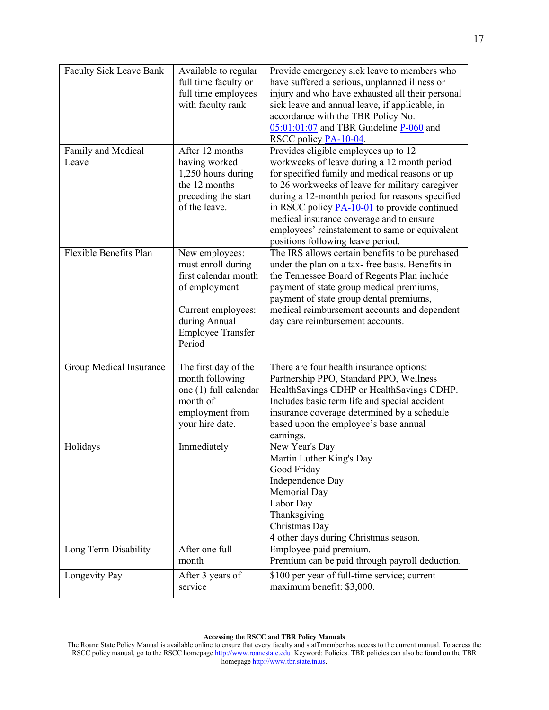| <b>Faculty Sick Leave Bank</b><br>Family and Medical | Available to regular<br>full time faculty or<br>full time employees<br>with faculty rank<br>After 12 months                                                | Provide emergency sick leave to members who<br>have suffered a serious, unplanned illness or<br>injury and who have exhausted all their personal<br>sick leave and annual leave, if applicable, in<br>accordance with the TBR Policy No.<br>$05:01:01:07$ and TBR Guideline P-060 and<br>RSCC policy PA-10-04.<br>Provides eligible employees up to 12                                          |
|------------------------------------------------------|------------------------------------------------------------------------------------------------------------------------------------------------------------|-------------------------------------------------------------------------------------------------------------------------------------------------------------------------------------------------------------------------------------------------------------------------------------------------------------------------------------------------------------------------------------------------|
| Leave                                                | having worked<br>1,250 hours during<br>the 12 months<br>preceding the start<br>of the leave.                                                               | workweeks of leave during a 12 month period<br>for specified family and medical reasons or up<br>to 26 workweeks of leave for military caregiver<br>during a 12-monthh period for reasons specified<br>in RSCC policy $P\text{A-10-01}$ to provide continued<br>medical insurance coverage and to ensure<br>employees' reinstatement to same or equivalent<br>positions following leave period. |
| Flexible Benefits Plan                               | New employees:<br>must enroll during<br>first calendar month<br>of employment<br>Current employees:<br>during Annual<br><b>Employee Transfer</b><br>Period | The IRS allows certain benefits to be purchased<br>under the plan on a tax-free basis. Benefits in<br>the Tennessee Board of Regents Plan include<br>payment of state group medical premiums,<br>payment of state group dental premiums,<br>medical reimbursement accounts and dependent<br>day care reimbursement accounts.                                                                    |
| Group Medical Insurance                              | The first day of the<br>month following<br>one (1) full calendar<br>month of<br>employment from<br>your hire date.                                         | There are four health insurance options:<br>Partnership PPO, Standard PPO, Wellness<br>HealthSavings CDHP or HealthSavings CDHP.<br>Includes basic term life and special accident<br>insurance coverage determined by a schedule<br>based upon the employee's base annual<br>earnings.                                                                                                          |
| Holidays                                             | Immediately                                                                                                                                                | New Year's Day<br>Martin Luther King's Day<br>Good Friday<br>Independence Day<br>Memorial Day<br>Labor Day<br>Thanksgiving<br>Christmas Day<br>4 other days during Christmas season.                                                                                                                                                                                                            |
| Long Term Disability                                 | After one full<br>month                                                                                                                                    | Employee-paid premium.<br>Premium can be paid through payroll deduction.                                                                                                                                                                                                                                                                                                                        |
| Longevity Pay                                        | After 3 years of<br>service                                                                                                                                | \$100 per year of full-time service; current<br>maximum benefit: \$3,000.                                                                                                                                                                                                                                                                                                                       |

The Roane State Policy Manual is available online to ensure that every faculty and staff member has access to the current manual. To access the RSCC policy manual, go to the RSCC homepage [http://www.roanestate.edu](http://www.roanestate.edu/) Keyword: Policies. TBR policies can also be found on the TBR homepage [http://www.tbr.state.tn.us.](http://www.tbr.state.tn.us/)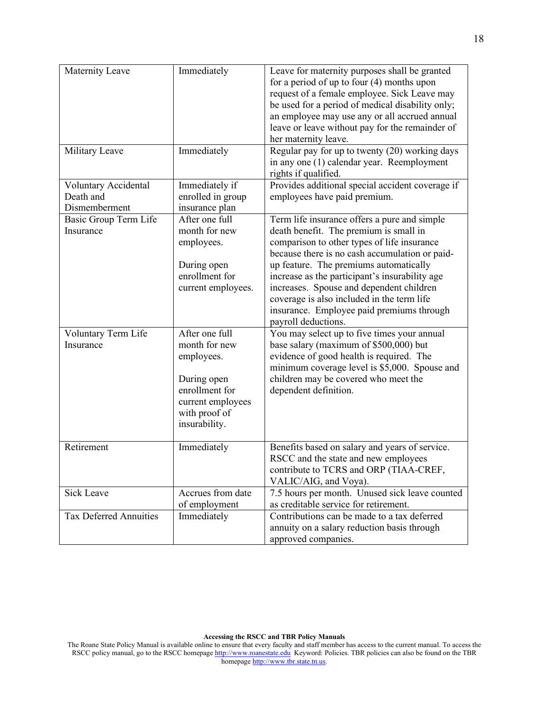| Maternity Leave                                    | Immediately                                                                                                                           | Leave for maternity purposes shall be granted<br>for a period of up to four $(4)$ months upon<br>request of a female employee. Sick Leave may<br>be used for a period of medical disability only;<br>an employee may use any or all accrued annual<br>leave or leave without pay for the remainder of<br>her maternity leave.                                                                                                                     |
|----------------------------------------------------|---------------------------------------------------------------------------------------------------------------------------------------|---------------------------------------------------------------------------------------------------------------------------------------------------------------------------------------------------------------------------------------------------------------------------------------------------------------------------------------------------------------------------------------------------------------------------------------------------|
| Military Leave                                     | Immediately                                                                                                                           | Regular pay for up to twenty (20) working days<br>in any one (1) calendar year. Reemployment<br>rights if qualified.                                                                                                                                                                                                                                                                                                                              |
| Voluntary Accidental<br>Death and<br>Dismemberment | Immediately if<br>enrolled in group<br>insurance plan                                                                                 | Provides additional special accident coverage if<br>employees have paid premium.                                                                                                                                                                                                                                                                                                                                                                  |
| Basic Group Term Life<br>Insurance                 | After one full<br>month for new<br>employees.<br>During open<br>enrollment for<br>current employees.                                  | Term life insurance offers a pure and simple<br>death benefit. The premium is small in<br>comparison to other types of life insurance<br>because there is no cash accumulation or paid-<br>up feature. The premiums automatically<br>increase as the participant's insurability age<br>increases. Spouse and dependent children<br>coverage is also included in the term life<br>insurance. Employee paid premiums through<br>payroll deductions. |
| Voluntary Term Life<br>Insurance                   | After one full<br>month for new<br>employees.<br>During open<br>enrollment for<br>current employees<br>with proof of<br>insurability. | You may select up to five times your annual<br>base salary (maximum of \$500,000) but<br>evidence of good health is required. The<br>minimum coverage level is \$5,000. Spouse and<br>children may be covered who meet the<br>dependent definition.                                                                                                                                                                                               |
| Retirement                                         | Immediately                                                                                                                           | Benefits based on salary and years of service.<br>RSCC and the state and new employees<br>contribute to TCRS and ORP (TIAA-CREF,<br>VALIC/AIG, and Voya).                                                                                                                                                                                                                                                                                         |
| Sick Leave                                         | Accrues from date<br>of employment                                                                                                    | 7.5 hours per month. Unused sick leave counted<br>as creditable service for retirement.                                                                                                                                                                                                                                                                                                                                                           |
| Tax Deferred Annuities                             | Immediately                                                                                                                           | Contributions can be made to a tax deferred<br>annuity on a salary reduction basis through<br>approved companies.                                                                                                                                                                                                                                                                                                                                 |

**Accessing the RSCC and TBR Policy Manuals**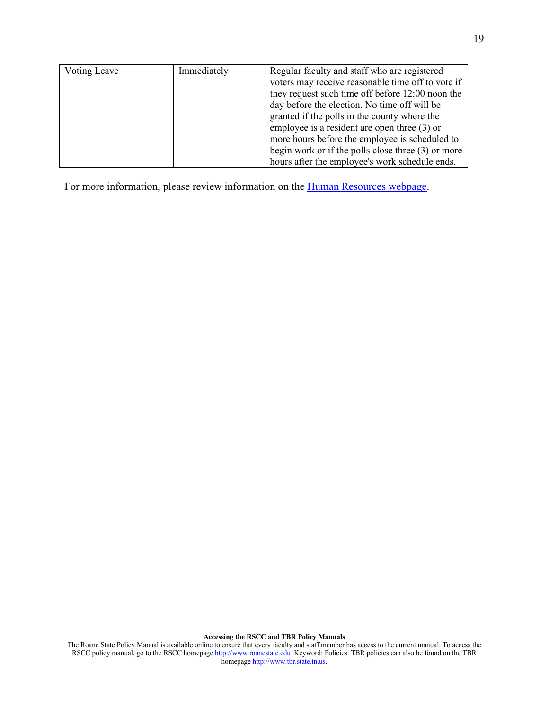| Voting Leave | Immediately | Regular faculty and staff who are registered         |
|--------------|-------------|------------------------------------------------------|
|              |             | voters may receive reasonable time off to vote if    |
|              |             | they request such time off before 12:00 noon the     |
|              |             | day before the election. No time off will be         |
|              |             | granted if the polls in the county where the         |
|              |             | employee is a resident are open three $(3)$ or       |
|              |             | more hours before the employee is scheduled to       |
|              |             | begin work or if the polls close three $(3)$ or more |
|              |             | hours after the employee's work schedule ends.       |

For more information, please review information on the **Human Resources webpage**.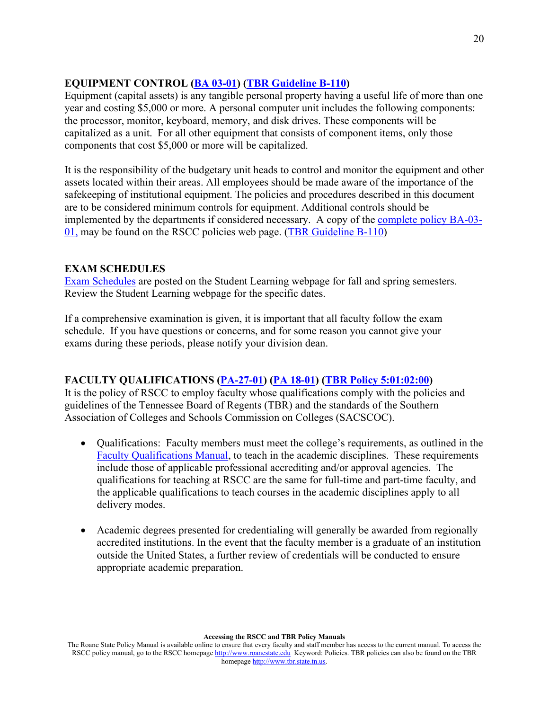# **EQUIPMENT CONTROL [\(BA 03-01\)](https://www.roanestate.edu/?7857-RSCC-Policy-BA-03-01-Equipment-Capitalization-Physical-Inventory-and-Use-of-College-Equipment) [\(TBR Guideline B-110\)](https://policies.tbr.edu/guidelines/fixed-assets-and-sensitive-minor-equipment)**

Equipment (capital assets) is any tangible personal property having a useful life of more than one year and costing \$5,000 or more. A personal computer unit includes the following components: the processor, monitor, keyboard, memory, and disk drives. These components will be capitalized as a unit. For all other equipment that consists of component items, only those components that cost \$5,000 or more will be capitalized.

It is the responsibility of the budgetary unit heads to control and monitor the equipment and other assets located within their areas. All employees should be made aware of the importance of the safekeeping of institutional equipment. The policies and procedures described in this document are to be considered minimum controls for equipment. Additional controls should be implemented by the departments if considered necessary. A copy of the [complete policy](http://www.roanestate.edu/?7857-RSCC-Policy-BA-03-01-Equipment-Capitalization-Physical-Inventory-and-Use-of-College-Equipmenthttp://www.roanestate.edu/?7857-RSCC-Policy-BA-03-01-Equipment-Capitalization-Physical-Inventory-and-Use-of-College-Equipment) BA-03- [01,](http://www.roanestate.edu/?7857-RSCC-Policy-BA-03-01-Equipment-Capitalization-Physical-Inventory-and-Use-of-College-Equipmenthttp://www.roanestate.edu/?7857-RSCC-Policy-BA-03-01-Equipment-Capitalization-Physical-Inventory-and-Use-of-College-Equipment) may be found on the RSCC policies web page. [\(TBR Guideline](https://policies.tbr.edu/guidelines/fixed-assets-and-sensitive-minor-equipment) B-110)

## **EXAM SCHEDULES**

[Exam Schedules](http://www.roanestate.edu/?6140-Final-Exam-Schedule) are posted on the Student Learning webpage for fall and spring semesters. Review the Student Learning webpage for the specific dates.

If a comprehensive examination is given, it is important that all faculty follow the exam schedule. If you have questions or concerns, and for some reason you cannot give your exams during these periods, please notify your division dean.

## **FACULTY QUALIFICATIONS [\(PA-27-01\)](http://www.roanestate.edu/?9235-RSCC-Policy-PA-27-01-Faculty-Qualifications) [\(PA 18-01\)](http://www.roanestate.edu/?9228-RSCC-Policy-PA-18-01-Hiring-and-Recruiting) [\(TBR Policy 5:01:02:00\)](https://policies.tbr.edu/policies/equal-employment-opportunity-and-affirmative-action)**

It is the policy of RSCC to employ faculty whose qualifications comply with the policies and guidelines of the Tennessee Board of Regents (TBR) and the standards of the Southern Association of Colleges and Schools Commission on Colleges (SACSCOC).

- Qualifications: Faculty members must meet the college's requirements, as outlined in the [Faculty Qualifications Manual,](http://www.roanestate.edu/?6200-Faculty-Manuals) to teach in the academic disciplines. These requirements include those of applicable professional accrediting and/or approval agencies. The qualifications for teaching at RSCC are the same for full-time and part-time faculty, and the applicable qualifications to teach courses in the academic disciplines apply to all delivery modes.
- Academic degrees presented for credentialing will generally be awarded from regionally accredited institutions. In the event that the faculty member is a graduate of an institution outside the United States, a further review of credentials will be conducted to ensure appropriate academic preparation.

The Roane State Policy Manual is available online to ensure that every faculty and staff member has access to the current manual. To access the RSCC policy manual, go to the RSCC homepage [http://www.roanestate.edu](http://www.roanestate.edu/) Keyword: Policies. TBR policies can also be found on the TBR homepage [http://www.tbr.state.tn.us.](http://www.tbr.state.tn.us/)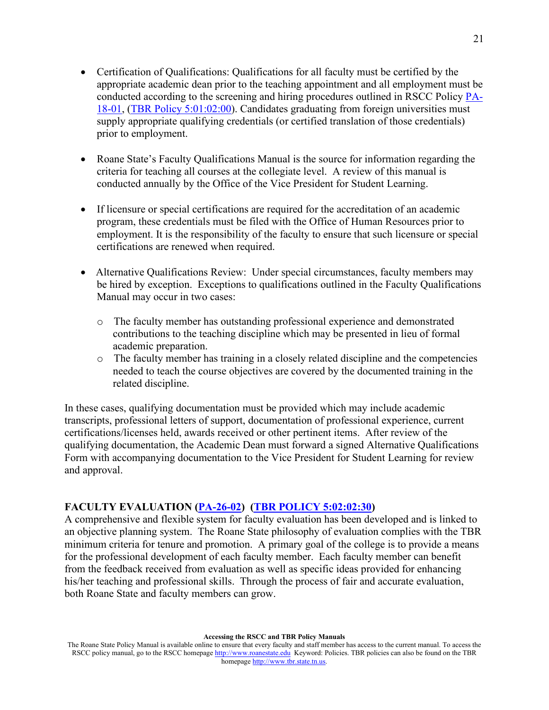- Certification of Qualifications: Qualifications for all faculty must be certified by the appropriate academic dean prior to the teaching appointment and all employment must be conducted according to the screening and hiring procedures outlined in RSCC Policy [PA-](http://www.roanestate.edu/?9228-RSCC-Policy-PA-18-01-Hiring-and-Recruiting)[18-01,](http://www.roanestate.edu/?9228-RSCC-Policy-PA-18-01-Hiring-and-Recruiting) [\(TBR Policy](https://policies.tbr.edu/policies/equal-employment-opportunity-and-affirmative-action) 5:01:02:00). Candidates graduating from foreign universities must supply appropriate qualifying credentials (or certified translation of those credentials) prior to employment.
- Roane State's Faculty Qualifications Manual is the source for information regarding the criteria for teaching all courses at the collegiate level. A review of this manual is conducted annually by the Office of the Vice President for Student Learning.
- If licensure or special certifications are required for the accreditation of an academic program, these credentials must be filed with the Office of Human Resources prior to employment. It is the responsibility of the faculty to ensure that such licensure or special certifications are renewed when required.
- Alternative Qualifications Review: Under special circumstances, faculty members may be hired by exception. Exceptions to qualifications outlined in the Faculty Qualifications Manual may occur in two cases:
	- o The faculty member has outstanding professional experience and demonstrated contributions to the teaching discipline which may be presented in lieu of formal academic preparation.
	- $\circ$  The faculty member has training in a closely related discipline and the competencies needed to teach the course objectives are covered by the documented training in the related discipline.

In these cases, qualifying documentation must be provided which may include academic transcripts, professional letters of support, documentation of professional experience, current certifications/licenses held, awards received or other pertinent items. After review of the qualifying documentation, the Academic Dean must forward a signed Alternative Qualifications Form with accompanying documentation to the Vice President for Student Learning for review and approval.

#### **FACULTY EVALUATION [\(PA-26-02\)](http://www.roanestate.edu/?9270-RSCC-Policy-PA-26-02-Faculty-Evaluation) [\(TBR POLICY](https://policies.tbr.edu/policies/faculty-promotion-community-colleges) 5:02:02:30)**

A comprehensive and flexible system for faculty evaluation has been developed and is linked to an objective planning system. The Roane State philosophy of evaluation complies with the TBR minimum criteria for tenure and promotion. A primary goal of the college is to provide a means for the professional development of each faculty member. Each faculty member can benefit from the feedback received from evaluation as well as specific ideas provided for enhancing his/her teaching and professional skills. Through the process of fair and accurate evaluation, both Roane State and faculty members can grow.

The Roane State Policy Manual is available online to ensure that every faculty and staff member has access to the current manual. To access the RSCC policy manual, go to the RSCC homepage [http://www.roanestate.edu](http://www.roanestate.edu/) Keyword: Policies. TBR policies can also be found on the TBR homepage [http://www.tbr.state.tn.us.](http://www.tbr.state.tn.us/)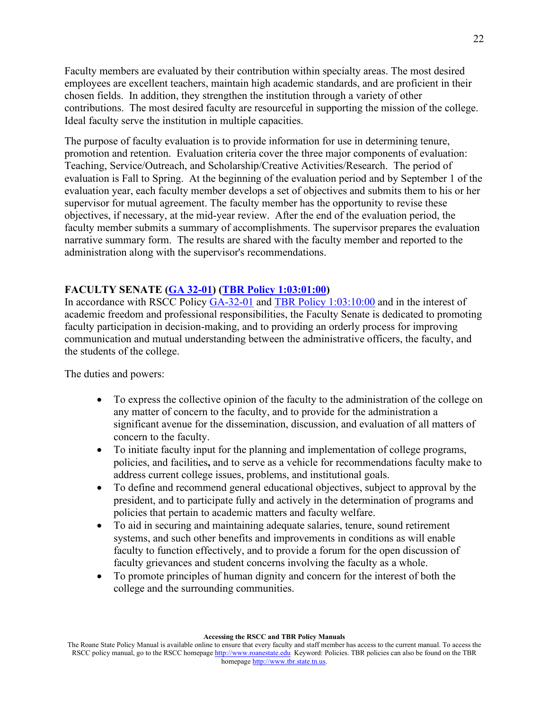Faculty members are evaluated by their contribution within specialty areas. The most desired employees are excellent teachers, maintain high academic standards, and are proficient in their chosen fields. In addition, they strengthen the institution through a variety of other contributions. The most desired faculty are resourceful in supporting the mission of the college. Ideal faculty serve the institution in multiple capacities.

The purpose of faculty evaluation is to provide information for use in determining tenure, promotion and retention. Evaluation criteria cover the three major components of evaluation: Teaching, Service/Outreach, and Scholarship/Creative Activities/Research. The period of evaluation is Fall to Spring. At the beginning of the evaluation period and by September 1 of the evaluation year, each faculty member develops a set of objectives and submits them to his or her supervisor for mutual agreement. The faculty member has the opportunity to revise these objectives, if necessary, at the mid-year review. After the end of the evaluation period, the faculty member submits a summary of accomplishments. The supervisor prepares the evaluation narrative summary form. The results are shared with the faculty member and reported to the administration along with the supervisor's recommendations.

#### **FACULTY SENATE [\(GA 32-01\)](http://www.roanestate.edu/?9213-RSCC-Policy-GA-32-01-Faculty-Senate-Constitution) [\(TBR Policy 1:03:01:00\)](https://policies.tbr.edu/policies/student-faculty-participation-development-campus-policies-programs)**

In accordance with RSCC Policy [GA-32-01](http://www.roanestate.edu/?9213-RSCC-Policy-GA-32-01-Faculty-Senate-Constitution) and [TBR Policy](https://policies.tbr.edu/policies/student-faculty-participation-development-campus-policies-programs) 1:03:10:00 and in the interest of academic freedom and professional responsibilities, the Faculty Senate is dedicated to promoting faculty participation in decision-making, and to providing an orderly process for improving communication and mutual understanding between the administrative officers, the faculty, and the students of the college.

The duties and powers:

- To express the collective opinion of the faculty to the administration of the college on any matter of concern to the faculty, and to provide for the administration a significant avenue for the dissemination, discussion, and evaluation of all matters of concern to the faculty.
- To initiate faculty input for the planning and implementation of college programs, policies, and facilities**,** and to serve as a vehicle for recommendations faculty make to address current college issues, problems, and institutional goals.
- To define and recommend general educational objectives, subject to approval by the president, and to participate fully and actively in the determination of programs and policies that pertain to academic matters and faculty welfare.
- To aid in securing and maintaining adequate salaries, tenure, sound retirement systems, and such other benefits and improvements in conditions as will enable faculty to function effectively, and to provide a forum for the open discussion of faculty grievances and student concerns involving the faculty as a whole.
- To promote principles of human dignity and concern for the interest of both the college and the surrounding communities.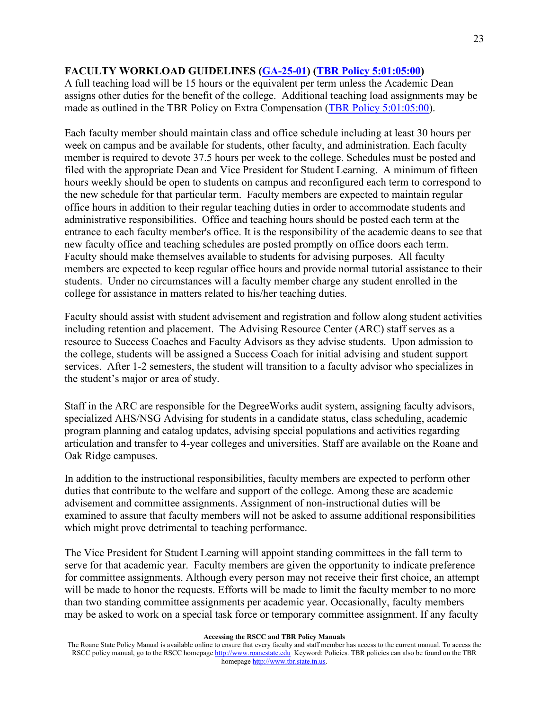### **FACULTY WORKLOAD GUIDELINES [\(GA-25-01\)](http://www.roanestate.edu/?9208-RSCC-Policy-GA-25-01-Standing-Committees) [\(TBR Policy 5:01:05:00\)](https://policies.tbr.edu/policies/outside-employment-and-extra-compensation)**

A full teaching load will be 15 hours or the equivalent per term unless the Academic Dean assigns other duties for the benefit of the college. Additional teaching load assignments may be made as outlined in the TBR Policy on Extra Compensation [\(TBR Policy 5:01:05:00\)](https://policies.tbr.edu/policies/outside-employment-and-extra-compensation).

Each faculty member should maintain class and office schedule including at least 30 hours per week on campus and be available for students, other faculty, and administration. Each faculty member is required to devote 37.5 hours per week to the college. Schedules must be posted and filed with the appropriate Dean and Vice President for Student Learning. A minimum of fifteen hours weekly should be open to students on campus and reconfigured each term to correspond to the new schedule for that particular term. Faculty members are expected to maintain regular office hours in addition to their regular teaching duties in order to accommodate students and administrative responsibilities. Office and teaching hours should be posted each term at the entrance to each faculty member's office. It is the responsibility of the academic deans to see that new faculty office and teaching schedules are posted promptly on office doors each term. Faculty should make themselves available to students for advising purposes. All faculty members are expected to keep regular office hours and provide normal tutorial assistance to their students. Under no circumstances will a faculty member charge any student enrolled in the college for assistance in matters related to his/her teaching duties.

Faculty should assist with student advisement and registration and follow along student activities including retention and placement. The Advising Resource Center (ARC) staff serves as a resource to Success Coaches and Faculty Advisors as they advise students. Upon admission to the college, students will be assigned a Success Coach for initial advising and student support services. After 1-2 semesters, the student will transition to a faculty advisor who specializes in the student's major or area of study.

Staff in the ARC are responsible for the DegreeWorks audit system, assigning faculty advisors, specialized AHS/NSG Advising for students in a candidate status, class scheduling, academic program planning and catalog updates, advising special populations and activities regarding articulation and transfer to 4-year colleges and universities. Staff are available on the Roane and Oak Ridge campuses.

In addition to the instructional responsibilities, faculty members are expected to perform other duties that contribute to the welfare and support of the college. Among these are academic advisement and committee assignments. Assignment of non-instructional duties will be examined to assure that faculty members will not be asked to assume additional responsibilities which might prove detrimental to teaching performance.

The Vice President for Student Learning will appoint standing committees in the fall term to serve for that academic year. Faculty members are given the opportunity to indicate preference for committee assignments. Although every person may not receive their first choice, an attempt will be made to honor the requests. Efforts will be made to limit the faculty member to no more than two standing committee assignments per academic year. Occasionally, faculty members may be asked to work on a special task force or temporary committee assignment. If any faculty

The Roane State Policy Manual is available online to ensure that every faculty and staff member has access to the current manual. To access the RSCC policy manual, go to the RSCC homepage [http://www.roanestate.edu](http://www.roanestate.edu/) Keyword: Policies. TBR policies can also be found on the TBR homepage [http://www.tbr.state.tn.us.](http://www.tbr.state.tn.us/)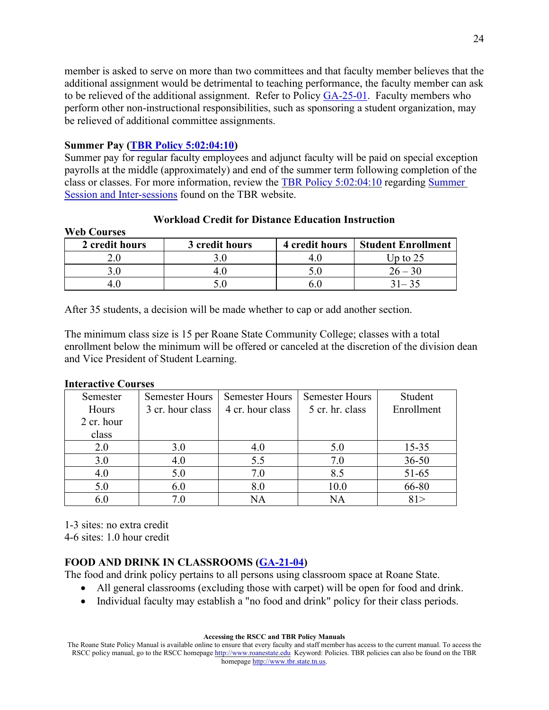member is asked to serve on more than two committees and that faculty member believes that the additional assignment would be detrimental to teaching performance, the faculty member can ask to be relieved of the additional assignment. Refer to Policy [GA-25-01.](http://www.roanestate.edu/?9208-RSCC-Policy-GA-25-01-Standing-Committees) Faculty members who perform other non-instructional responsibilities, such as sponsoring a student organization, may be relieved of additional committee assignments.

#### **Summer Pay [\(TBR Policy 5:02:04:10\)](https://policies.tbr.edu/policies/faculty-compensation-during-summer-session-and-inter-sessions)**

Summer pay for regular faculty employees and adjunct faculty will be paid on special exception payrolls at the middle (approximately) and end of the summer term following completion of the class or classes. For more information, review the [TBR Policy 5:02:04:10](https://policies.tbr.edu/policies/faculty-compensation-during-summer-session-and-inter-sessions) regarding [Summer](https://policies.tbr.edu/policies/faculty-compensation-during-summer-session-and-inter-sessions)  [Session and Inter-sessions](https://policies.tbr.edu/policies/faculty-compensation-during-summer-session-and-inter-sessions) found on the TBR website.

| <i>web</i> Courses |                |                |                           |
|--------------------|----------------|----------------|---------------------------|
| 2 credit hours     | 3 credit hours | 4 credit hours | <b>Student Enrollment</b> |
|                    |                |                | Up to 25                  |
|                    |                |                | $26 - 30$                 |
|                    |                |                | $31 - 35$                 |

#### **Workload Credit for Distance Education Instruction**

After 35 students, a decision will be made whether to cap or add another section.

The minimum class size is 15 per Roane State Community College; classes with a total enrollment below the minimum will be offered or canceled at the discretion of the division dean and Vice President of Student Learning.

#### **Interactive Courses**

**Web Courses**

| Semester   | <b>Semester Hours</b> | <b>Semester Hours</b> | <b>Semester Hours</b> | Student    |
|------------|-----------------------|-----------------------|-----------------------|------------|
| Hours      | 3 cr. hour class      | 4 cr. hour class      | 5 cr. hr. class       | Enrollment |
| 2 cr. hour |                       |                       |                       |            |
| class      |                       |                       |                       |            |
| 2.0        | 3.0                   | 4.0                   | 5.0                   | $15 - 35$  |
| 3.0        | 4.0                   | 5.5                   | 7.0                   | $36 - 50$  |
| 4.0        | 5.0                   | 7.0                   | 8.5                   | $51 - 65$  |
| 5.0        | 6.0                   | 8.0                   | 10.0                  | 66-80      |
| 6.0        | 7.0                   | NA                    | NA                    |            |

1-3 sites: no extra credit 4-6 sites: 1.0 hour credit

### **FOOD AND DRINK IN CLASSROOMS [\(GA-21-04\)](http://www.roanestate.edu/?9205-RSCC-Policy-GA-21-04-Food-and-Drink-in-Classrooms)**

The food and drink policy pertains to all persons using classroom space at Roane State.

- All general classrooms (excluding those with carpet) will be open for food and drink.
- Individual faculty may establish a "no food and drink" policy for their class periods.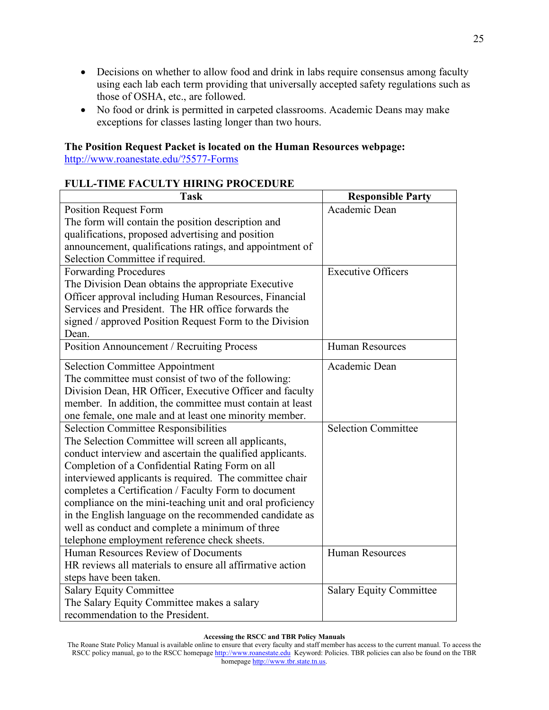- Decisions on whether to allow food and drink in labs require consensus among faculty using each lab each term providing that universally accepted safety regulations such as those of OSHA, etc., are followed.
- No food or drink is permitted in carpeted classrooms. Academic Deans may make exceptions for classes lasting longer than two hours.

### **The Position Request Packet is located on the Human Resources webpage:**

<http://www.roanestate.edu/?5577-Forms>

# **FULL-TIME FACULTY HIRING PROCEDURE**

| <b>Task</b>                                               | <b>Responsible Party</b>       |
|-----------------------------------------------------------|--------------------------------|
| <b>Position Request Form</b>                              | Academic Dean                  |
| The form will contain the position description and        |                                |
| qualifications, proposed advertising and position         |                                |
| announcement, qualifications ratings, and appointment of  |                                |
| Selection Committee if required.                          |                                |
| <b>Forwarding Procedures</b>                              | <b>Executive Officers</b>      |
| The Division Dean obtains the appropriate Executive       |                                |
| Officer approval including Human Resources, Financial     |                                |
| Services and President. The HR office forwards the        |                                |
| signed / approved Position Request Form to the Division   |                                |
| Dean.                                                     |                                |
| Position Announcement / Recruiting Process                | <b>Human Resources</b>         |
| <b>Selection Committee Appointment</b>                    | Academic Dean                  |
| The committee must consist of two of the following:       |                                |
| Division Dean, HR Officer, Executive Officer and faculty  |                                |
| member. In addition, the committee must contain at least  |                                |
| one female, one male and at least one minority member.    |                                |
| <b>Selection Committee Responsibilities</b>               | <b>Selection Committee</b>     |
| The Selection Committee will screen all applicants,       |                                |
| conduct interview and ascertain the qualified applicants. |                                |
| Completion of a Confidential Rating Form on all           |                                |
| interviewed applicants is required. The committee chair   |                                |
| completes a Certification / Faculty Form to document      |                                |
| compliance on the mini-teaching unit and oral proficiency |                                |
| in the English language on the recommended candidate as   |                                |
| well as conduct and complete a minimum of three           |                                |
| telephone employment reference check sheets.              |                                |
| Human Resources Review of Documents                       | <b>Human Resources</b>         |
| HR reviews all materials to ensure all affirmative action |                                |
| steps have been taken.                                    |                                |
| <b>Salary Equity Committee</b>                            | <b>Salary Equity Committee</b> |
| The Salary Equity Committee makes a salary                |                                |
| recommendation to the President.                          |                                |

The Roane State Policy Manual is available online to ensure that every faculty and staff member has access to the current manual. To access the RSCC policy manual, go to the RSCC homepage [http://www.roanestate.edu](http://www.roanestate.edu/) Keyword: Policies. TBR policies can also be found on the TBR homepage [http://www.tbr.state.tn.us.](http://www.tbr.state.tn.us/)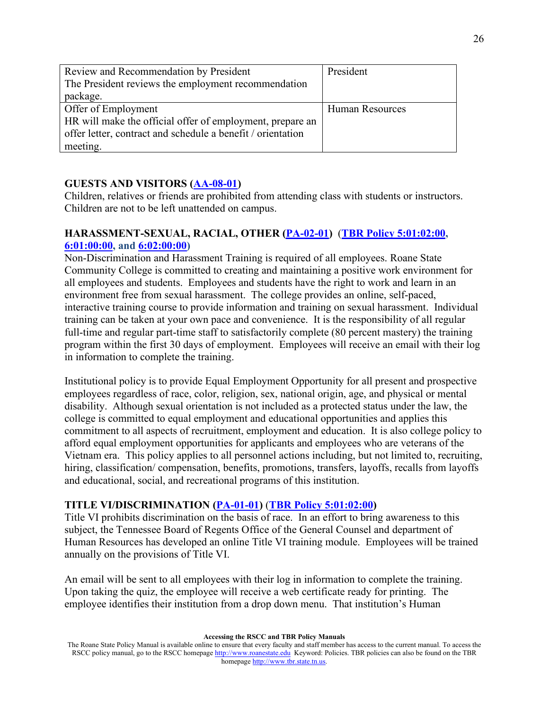| Review and Recommendation by President                      | President              |
|-------------------------------------------------------------|------------------------|
| The President reviews the employment recommendation         |                        |
| package.                                                    |                        |
| Offer of Employment                                         | <b>Human Resources</b> |
| HR will make the official offer of employment, prepare an   |                        |
| offer letter, contract and schedule a benefit / orientation |                        |
| meeting.                                                    |                        |

### **GUESTS AND VISITORS [\(AA-08-01\)](http://www.roanestate.edu/?7847-RSCC-Policy-AA-08-01-Class-Interruptions-Guests-and-Visitors)**

Children, relatives or friends are prohibited from attending class with students or instructors. Children are not to be left unattended on campus.

### **HARASSMENT-SEXUAL, RACIAL, OTHER [\(PA-02-01\)](http://www.roanestate.edu/?7860-RSCC-Policy-PA-02-01-Harassment-Sexual-Racial-Other)** (**[TBR Policy 5:01:02:00,](https://policies.tbr.edu/policies/equal-employment-opportunity-and-affirmative-action) [6:01:00:00,](https://policies.tbr.edu/policies/sex-discrimination-sexual-harassment-or-sexual-misconduct) and [6:02:00:00\)](https://policies.tbr.edu/policies/sex-discrimination-and-sexual-harassment-0)**

Non-Discrimination and Harassment Training is required of all employees. Roane State Community College is committed to creating and maintaining a positive work environment for all employees and students. Employees and students have the right to work and learn in an environment free from sexual harassment. The college provides an online, self-paced, interactive training course to provide information and training on sexual harassment. Individual training can be taken at your own pace and convenience. It is the responsibility of all regular full-time and regular part-time staff to satisfactorily complete (80 percent mastery) the training program within the first 30 days of employment. Employees will receive an email with their log in information to complete the training.

Institutional policy is to provide Equal Employment Opportunity for all present and prospective employees regardless of race, color, religion, sex, national origin, age, and physical or mental disability. Although sexual orientation is not included as a protected status under the law, the college is committed to equal employment and educational opportunities and applies this commitment to all aspects of recruitment, employment and education. It is also college policy to afford equal employment opportunities for applicants and employees who are veterans of the Vietnam era. This policy applies to all personnel actions including, but not limited to, recruiting, hiring, classification/compensation, benefits, promotions, transfers, layoffs, recalls from layoffs and educational, social, and recreational programs of this institution.

## **TITLE VI/DISCRIMINATION [\(PA-01-01\)](http://www.roanestate.edu/?7858-RSCC-Policy-PA-01-01-Equal-Employment-Opportunity-and-Affirmative-Action)** (**[TBR Policy](https://policies.tbr.edu/policies/equal-employment-opportunity-and-affirmative-action) 5:01:02:00)**

Title VI prohibits discrimination on the basis of race. In an effort to bring awareness to this subject, the Tennessee Board of Regents Office of the General Counsel and department of Human Resources has developed an online Title VI training module. Employees will be trained annually on the provisions of Title VI.

An email will be sent to all employees with their log in information to complete the training. Upon taking the quiz, the employee will receive a web certificate ready for printing. The employee identifies their institution from a drop down menu. That institution's Human

The Roane State Policy Manual is available online to ensure that every faculty and staff member has access to the current manual. To access the RSCC policy manual, go to the RSCC homepage [http://www.roanestate.edu](http://www.roanestate.edu/) Keyword: Policies. TBR policies can also be found on the TBR homepage [http://www.tbr.state.tn.us.](http://www.tbr.state.tn.us/)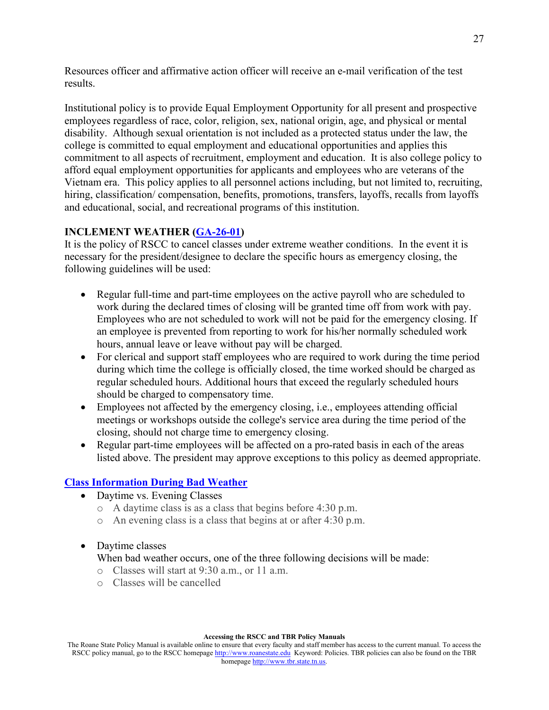Resources officer and affirmative action officer will receive an e-mail verification of the test results.

Institutional policy is to provide Equal Employment Opportunity for all present and prospective employees regardless of race, color, religion, sex, national origin, age, and physical or mental disability. Although sexual orientation is not included as a protected status under the law, the college is committed to equal employment and educational opportunities and applies this commitment to all aspects of recruitment, employment and education. It is also college policy to afford equal employment opportunities for applicants and employees who are veterans of the Vietnam era. This policy applies to all personnel actions including, but not limited to, recruiting, hiring, classification/compensation, benefits, promotions, transfers, layoffs, recalls from layoffs and educational, social, and recreational programs of this institution.

# **INCLEMENT WEATHER [\(GA-26-01\)](http://www.roanestate.edu/?9210-RSCC-Policy-GA-26-01-Administrative-Closing--Inclement-Weather)**

It is the policy of RSCC to cancel classes under extreme weather conditions. In the event it is necessary for the president/designee to declare the specific hours as emergency closing, the following guidelines will be used:

- Regular full-time and part-time employees on the active payroll who are scheduled to work during the declared times of closing will be granted time off from work with pay. Employees who are not scheduled to work will not be paid for the emergency closing. If an employee is prevented from reporting to work for his/her normally scheduled work hours, annual leave or leave without pay will be charged.
- For clerical and support staff employees who are required to work during the time period during which time the college is officially closed, the time worked should be charged as regular scheduled hours. Additional hours that exceed the regularly scheduled hours should be charged to compensatory time.
- Employees not affected by the emergency closing, *i.e.*, employees attending official meetings or workshops outside the college's service area during the time period of the closing, should not charge time to emergency closing.
- Regular part-time employees will be affected on a pro-rated basis in each of the areas listed above. The president may approve exceptions to this policy as deemed appropriate.

## **Class Information [During Bad Weather](http://www.roanestate.edu/?5791-Class-Information-During-Bad-Weather)**

- Daytime vs. Evening Classes
	- o A daytime class is as a class that begins before 4:30 p.m.
	- o An evening class is a class that begins at or after 4:30 p.m.
- Daytime classes

When bad weather occurs, one of the three following decisions will be made:

- o Classes will start at 9:30 a.m., or 11 a.m.
- o Classes will be cancelled

#### **Accessing the RSCC and TBR Policy Manuals**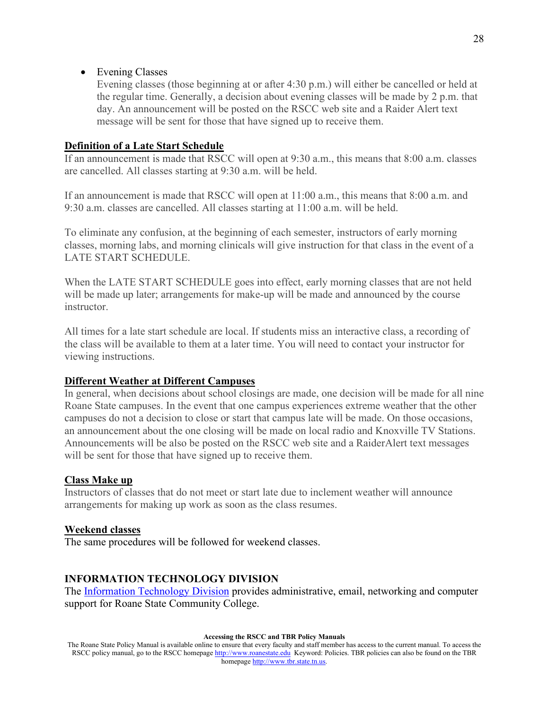#### • Evening Classes

Evening classes (those beginning at or after 4:30 p.m.) will either be cancelled or held at the regular time. Generally, a decision about evening classes will be made by 2 p.m. that day. An announcement will be posted on the RSCC web site and a Raider Alert text message will be sent for those that have signed up to receive them.

#### **Definition of a Late Start Schedule**

If an announcement is made that RSCC will open at 9:30 a.m., this means that 8:00 a.m. classes are cancelled. All classes starting at 9:30 a.m. will be held.

If an announcement is made that RSCC will open at 11:00 a.m., this means that 8:00 a.m. and 9:30 a.m. classes are cancelled. All classes starting at 11:00 a.m. will be held.

To eliminate any confusion, at the beginning of each semester, instructors of early morning classes, morning labs, and morning clinicals will give instruction for that class in the event of a LATE START SCHEDULE.

When the LATE START SCHEDULE goes into effect, early morning classes that are not held will be made up later; arrangements for make-up will be made and announced by the course instructor.

All times for a late start schedule are local. If students miss an interactive class, a recording of the class will be available to them at a later time. You will need to contact your instructor for viewing instructions.

#### **Different Weather at Different Campuses**

In general, when decisions about school closings are made, one decision will be made for all nine Roane State campuses. In the event that one campus experiences extreme weather that the other campuses do not a decision to close or start that campus late will be made. On those occasions, an announcement about the one closing will be made on local radio and Knoxville TV Stations. Announcements will be also be posted on the RSCC web site and a RaiderAlert text messages will be sent for those that have signed up to receive them.

#### **Class Make up**

Instructors of classes that do not meet or start late due to inclement weather will announce arrangements for making up work as soon as the class resumes.

#### **Weekend classes**

The same procedures will be followed for weekend classes.

#### **INFORMATION TECHNOLOGY DIVISION**

The [Information Technology Division](http://www.roanestate.edu/?265-Information-Technology) provides administrative, email, networking and computer support for Roane State Community College.

#### **Accessing the RSCC and TBR Policy Manuals**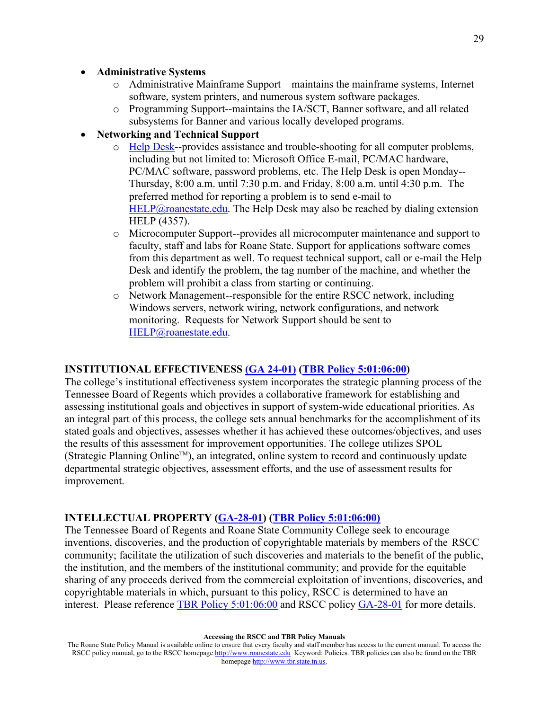#### • **Administrative Systems**

- o Administrative Mainframe Support—maintains the mainframe systems, Internet software, system printers, and numerous system software packages.
- o Programming Support--maintains the IA/SCT, Banner software, and all related subsystems for Banner and various locally developed programs.

#### • **Networking and Technical Support**

- o [Help Desk-](http://www.roanestate.edu/?250-Help-Desk)-provides assistance and trouble-shooting for all computer problems, including but not limited to: Microsoft Office E-mail, PC/MAC hardware, PC/MAC software, password problems, etc. The Help Desk is open Monday-- Thursday, 8:00 a.m. until 7:30 p.m. and Friday, 8:00 a.m. until 4:30 p.m. The preferred method for reporting a problem is to send e-mail to [HELP@roanestate.edu.](mailto:HELP@roanestate.edu) The Help Desk may also be reached by dialing extension HELP (4357).
- o Microcomputer Support--provides all microcomputer maintenance and support to faculty, staff and labs for Roane State. Support for applications software comes from this department as well. To request technical support, call or e-mail the Help Desk and identify the problem, the tag number of the machine, and whether the problem will prohibit a class from starting or continuing.
- o Network Management--responsible for the entire RSCC network, including Windows servers, network wiring, network configurations, and network monitoring. Requests for Network Support should be sent to [HELP@roanestate.edu.](mailto:HELP@roanestate.edu)

#### **INSTITUTIONAL EFFECTIVENESS [\(GA 24-01\)](http://www.roanestate.edu/?9194-RSCC-Policy-GA-24-01-Institutional-Effectiveness) [\(TBR Policy](https://policies.tbr.edu/policies/intellectual-property) 5:01:06:00)**

The college's institutional effectiveness system incorporates the strategic planning process of the Tennessee Board of Regents which provides a collaborative framework for establishing and assessing institutional goals and objectives in support of system-wide educational priorities. As an integral part of this process, the college sets annual benchmarks for the accomplishment of its stated goals and objectives, assesses whether it has achieved these outcomes/objectives, and uses the results of this assessment for improvement opportunities. The college utilizes SPOL (Strategic Planning Online<sup>TM</sup>), an integrated, online system to record and continuously update departmental strategic objectives, assessment efforts, and the use of assessment results for improvement.

#### **INTELLECTUAL PROPERTY [\(GA-28-01\)](http://www.roanestate.edu/?9211-RSCC-Policy-GA-28-01-Intellectual-Property) [\(TBR Policy 5:01:06:00\)](https://policies.tbr.edu/policies/intellectual-property)**

The Tennessee Board of Regents and Roane State Community College seek to encourage inventions, discoveries, and the production of copyrightable materials by members of the RSCC community; facilitate the utilization of such discoveries and materials to the benefit of the public, the institution, and the members of the institutional community; and provide for the equitable sharing of any proceeds derived from the commercial exploitation of inventions, discoveries, and copyrightable materials in which, pursuant to this policy, RSCC is determined to have an interest. Please reference [TBR Policy 5:01:06:00](https://policies.tbr.edu/policies/intellectual-property) and RSCC policy [GA-28-01](http://www.roanestate.edu/?9211-RSCC-Policy-GA-28-01-Intellectual-Property) for more details.

The Roane State Policy Manual is available online to ensure that every faculty and staff member has access to the current manual. To access the RSCC policy manual, go to the RSCC homepage [http://www.roanestate.edu](http://www.roanestate.edu/) Keyword: Policies. TBR policies can also be found on the TBR homepage [http://www.tbr.state.tn.us.](http://www.tbr.state.tn.us/)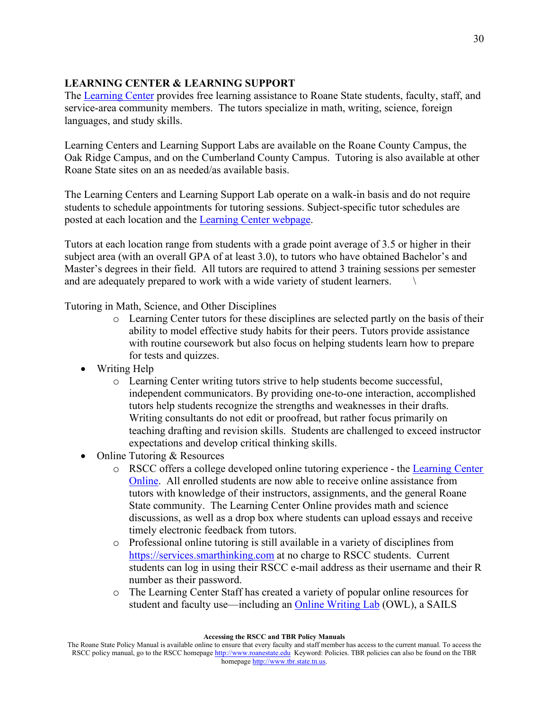# **LEARNING CENTER & LEARNING SUPPORT**

The [Learning Center](http://www.roanestate.edu/learningcenter) provides free learning assistance to Roane State students, faculty, staff, and service-area community members. The tutors specialize in math, writing, science, foreign languages, and study skills.

Learning Centers and Learning Support Labs are available on the Roane County Campus, the Oak Ridge Campus, and on the Cumberland County Campus. Tutoring is also available at other Roane State sites on an as needed/as available basis.

The Learning Centers and Learning Support Lab operate on a walk-in basis and do not require students to schedule appointments for tutoring sessions. Subject-specific tutor schedules are posted at each location and the [Learning Center webpage.](http://www.roanestate.edu/?6143-Learning-Center)

Tutors at each location range from students with a grade point average of 3.5 or higher in their subject area (with an overall GPA of at least 3.0), to tutors who have obtained Bachelor's and Master's degrees in their field. All tutors are required to attend 3 training sessions per semester and are adequately prepared to work with a wide variety of student learners.

Tutoring in Math, Science, and Other Disciplines

- o Learning Center tutors for these disciplines are selected partly on the basis of their ability to model effective study habits for their peers. Tutors provide assistance with routine coursework but also focus on helping students learn how to prepare for tests and quizzes.
- Writing Help
	- o Learning Center writing tutors strive to help students become successful, independent communicators. By providing one-to-one interaction, accomplished tutors help students recognize the strengths and weaknesses in their drafts. Writing consultants do not edit or proofread, but rather focus primarily on teaching drafting and revision skills. Students are challenged to exceed instructor expectations and develop critical thinking skills.
- Online Tutoring & Resources
	- o RSCC offers a college developed online tutoring experience the [Learning Center](http://www.roanestate.edu/?7091-Online-Learning-Center-Resources)  [Online.](http://www.roanestate.edu/?7091-Online-Learning-Center-Resources) All enrolled students are now able to receive online assistance from tutors with knowledge of their instructors, assignments, and the general Roane State community. The Learning Center Online provides math and science discussions, as well as a drop box where students can upload essays and receive timely electronic feedback from tutors.
	- o Professional online tutoring is still available in a variety of disciplines from [https://services.smarthinking.com](https://services.smarthinking.com/) at no charge to RSCC students. Current students can log in using their RSCC e-mail address as their username and their R number as their password.
	- o The Learning Center Staff has created a variety of popular online resources for student and faculty use—including an [Online Writing Lab](http://www.roanestate.edu/owl/) (OWL), a SAILS

The Roane State Policy Manual is available online to ensure that every faculty and staff member has access to the current manual. To access the RSCC policy manual, go to the RSCC homepage [http://www.roanestate.edu](http://www.roanestate.edu/) Keyword: Policies. TBR policies can also be found on the TBR homepage [http://www.tbr.state.tn.us.](http://www.tbr.state.tn.us/)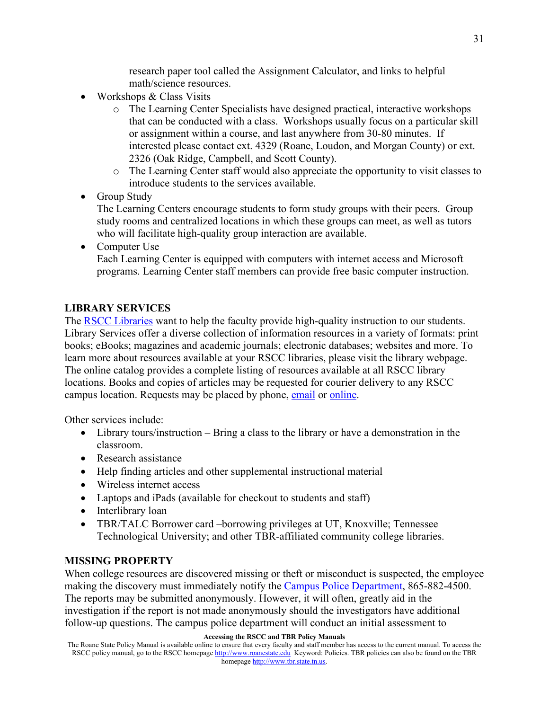research paper tool called the Assignment Calculator, and links to helpful math/science resources.

- Workshops & Class Visits
	- o The Learning Center Specialists have designed practical, interactive workshops that can be conducted with a class. Workshops usually focus on a particular skill or assignment within a course, and last anywhere from 30-80 minutes. If interested please contact ext. 4329 (Roane, Loudon, and Morgan County) or ext. 2326 (Oak Ridge, Campbell, and Scott County).
	- o The Learning Center staff would also appreciate the opportunity to visit classes to introduce students to the services available.
- Group Study

The Learning Centers encourage students to form study groups with their peers. Group study rooms and centralized locations in which these groups can meet, as well as tutors who will facilitate high-quality group interaction are available.

• Computer Use Each Learning Center is equipped with computers with internet access and Microsoft programs. Learning Center staff members can provide free basic computer instruction.

### **LIBRARY SERVICES**

The [RSCC Libraries](http://library.roanestate.edu/home) want to help the faculty provide high-quality instruction to our students. Library Services offer a diverse collection of information resources in a variety of formats: print books; eBooks; magazines and academic journals; electronic databases; websites and more. To learn more about resources available at your RSCC libraries, please visit the library webpage. The online catalog provides a complete listing of resources available at all RSCC library locations. Books and copies of articles may be requested for courier delivery to any RSCC campus location. Requests may be placed by phone, [email](mailto:librarystaff@roanestate.edu) or [online.](https://library.roanestate.edu/c.php?g=671496&p=4747852)

Other services include:

- Library tours/instruction Bring a class to the library or have a demonstration in the classroom.
- Research assistance
- Help finding articles and other supplemental instructional material
- Wireless internet access
- Laptops and iPads (available for checkout to students and staff)
- Interlibrary loan
- TBR/TALC Borrower card –borrowing privileges at UT, Knoxville; Tennessee Technological University; and other TBR-affiliated community college libraries.

#### **MISSING PROPERTY**

When college resources are discovered missing or theft or misconduct is suspected, the employee making the discovery must immediately notify the [Campus Police Department,](http://www.roanestate.edu/?6826-Roane-State-Police-Department) 865-882-4500. The reports may be submitted anonymously. However, it will often, greatly aid in the investigation if the report is not made anonymously should the investigators have additional follow-up questions. The campus police department will conduct an initial assessment to

#### **Accessing the RSCC and TBR Policy Manuals**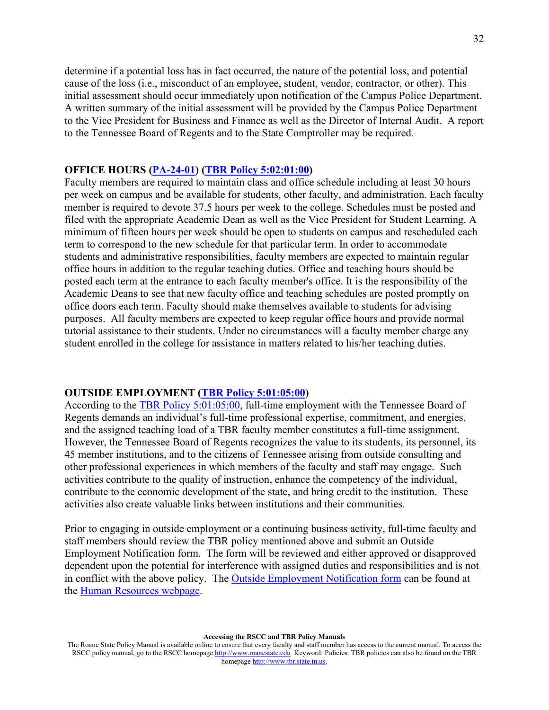determine if a potential loss has in fact occurred, the nature of the potential loss, and potential cause of the loss (i.e., misconduct of an employee, student, vendor, contractor, or other). This initial assessment should occur immediately upon notification of the Campus Police Department. A written summary of the initial assessment will be provided by the Campus Police Department to the Vice President for Business and Finance as well as the Director of Internal Audit. A report to the Tennessee Board of Regents and to the State Comptroller may be required.

#### **OFFICE HOURS [\(PA-24-01\)](http://www.roanestate.edu/?9232-RSCC-Policy-PA-24-01-Faculty-Job-Description) [\(TBR Policy](https://policies.tbr.edu/policies/definition-faculty) 5:02:01:00)**

Faculty members are required to maintain class and office schedule including at least 30 hours per week on campus and be available for students, other faculty, and administration. Each faculty member is required to devote 37.5 hours per week to the college. Schedules must be posted and filed with the appropriate Academic Dean as well as the Vice President for Student Learning. A minimum of fifteen hours per week should be open to students on campus and rescheduled each term to correspond to the new schedule for that particular term. In order to accommodate students and administrative responsibilities, faculty members are expected to maintain regular office hours in addition to the regular teaching duties. Office and teaching hours should be posted each term at the entrance to each faculty member's office. It is the responsibility of the Academic Deans to see that new faculty office and teaching schedules are posted promptly on office doors each term. Faculty should make themselves available to students for advising purposes. All faculty members are expected to keep regular office hours and provide normal tutorial assistance to their students. Under no circumstances will a faculty member charge any student enrolled in the college for assistance in matters related to his/her teaching duties.

#### **OUTSIDE EMPLOYMENT [\(TBR Policy 5:01:05:00\)](https://policies.tbr.edu/policies/outside-employment-and-extra-compensation)**

According to the [TBR Policy 5:01:05:00,](https://policies.tbr.edu/policies/outside-employment-and-extra-compensation) full-time employment with the Tennessee Board of Regents demands an individual's full-time professional expertise, commitment, and energies, and the assigned teaching load of a TBR faculty member constitutes a full-time assignment. However, the Tennessee Board of Regents recognizes the value to its students, its personnel, its 45 member institutions, and to the citizens of Tennessee arising from outside consulting and other professional experiences in which members of the faculty and staff may engage. Such activities contribute to the quality of instruction, enhance the competency of the individual, contribute to the economic development of the state, and bring credit to the institution. These activities also create valuable links between institutions and their communities.

Prior to engaging in outside employment or a continuing business activity, full-time faculty and staff members should review the TBR policy mentioned above and submit an Outside Employment Notification form. The form will be reviewed and either approved or disapproved dependent upon the potential for interference with assigned duties and responsibilities and is not in conflict with the above policy. The [Outside Employment Notification form](http://www.roanestate.edu/webFolders/fearnao/Outside%20Employment.pdf) can be found at the [Human Resources webpage.](http://www.roanestate.edu/?5574-Human-Resources-Office)

The Roane State Policy Manual is available online to ensure that every faculty and staff member has access to the current manual. To access the RSCC policy manual, go to the RSCC homepage [http://www.roanestate.edu](http://www.roanestate.edu/) Keyword: Policies. TBR policies can also be found on the TBR homepage [http://www.tbr.state.tn.us.](http://www.tbr.state.tn.us/)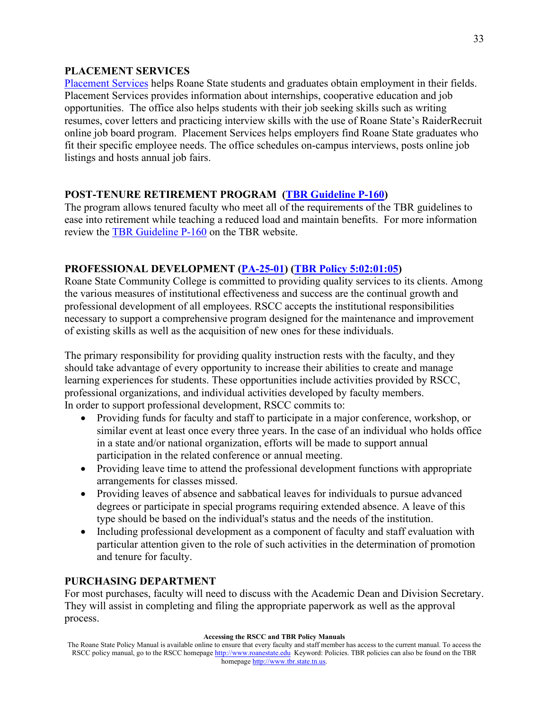#### **PLACEMENT SERVICES**

[Placement Services](http://www.roanestate.edu/?6224-Placement) helps Roane State students and graduates obtain employment in their fields. Placement Services provides information about internships, cooperative education and job opportunities. The office also helps students with their job seeking skills such as writing resumes, cover letters and practicing interview skills with the use of Roane State's RaiderRecruit online job board program. Placement Services helps employers find Roane State graduates who fit their specific employee needs. The office schedules on-campus interviews, posts online job listings and hosts annual job fairs.

### **POST-TENURE RETIREMENT PROGRAM [\(TBR Guideline P-160\)](https://policies.tbr.edu/guidelines/post-retirement-service-program-tenured-faculty)**

The program allows tenured faculty who meet all of the requirements of the TBR guidelines to ease into retirement while teaching a reduced load and maintain benefits. For more information review the [TBR Guideline P-160](https://policies.tbr.edu/guidelines/post-retirement-service-program-tenured-faculty) on the TBR website.

### **PROFESSIONAL DEVELOPMENT [\(PA-25-01\)](http://www.roanestate.edu/?9297-RSCC-Policy-PA-25-01-Professional-Development) [\(TBR Policy](https://policies.tbr.edu/policies/faculty-development) 5:02:01:05)**

Roane State Community College is committed to providing quality services to its clients. Among the various measures of institutional effectiveness and success are the continual growth and professional development of all employees. RSCC accepts the institutional responsibilities necessary to support a comprehensive program designed for the maintenance and improvement of existing skills as well as the acquisition of new ones for these individuals.

The primary responsibility for providing quality instruction rests with the faculty, and they should take advantage of every opportunity to increase their abilities to create and manage learning experiences for students. These opportunities include activities provided by RSCC, professional organizations, and individual activities developed by faculty members. In order to support professional development, RSCC commits to:

- Providing funds for faculty and staff to participate in a major conference, workshop, or similar event at least once every three years. In the case of an individual who holds office in a state and/or national organization, efforts will be made to support annual participation in the related conference or annual meeting.
- Providing leave time to attend the professional development functions with appropriate arrangements for classes missed.
- Providing leaves of absence and sabbatical leaves for individuals to pursue advanced degrees or participate in special programs requiring extended absence. A leave of this type should be based on the individual's status and the needs of the institution.
- Including professional development as a component of faculty and staff evaluation with particular attention given to the role of such activities in the determination of promotion and tenure for faculty.

#### **PURCHASING DEPARTMENT**

For most purchases, faculty will need to discuss with the Academic Dean and Division Secretary. They will assist in completing and filing the appropriate paperwork as well as the approval process.

The Roane State Policy Manual is available online to ensure that every faculty and staff member has access to the current manual. To access the RSCC policy manual, go to the RSCC homepage [http://www.roanestate.edu](http://www.roanestate.edu/) Keyword: Policies. TBR policies can also be found on the TBR homepage [http://www.tbr.state.tn.us.](http://www.tbr.state.tn.us/)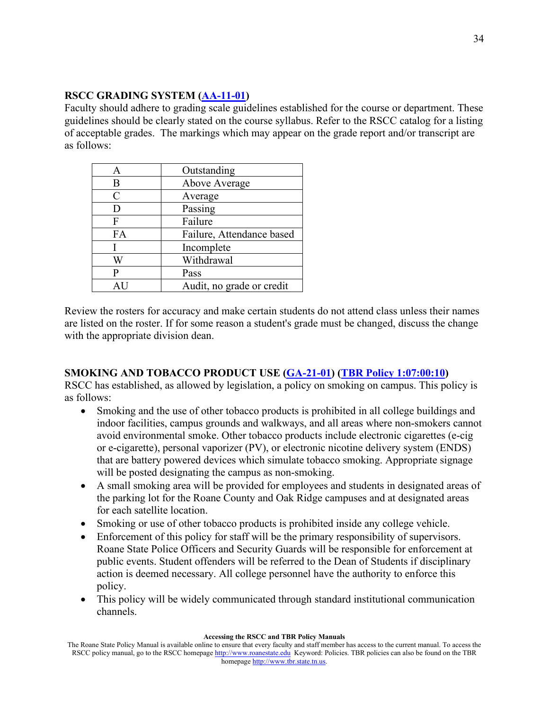### **RSCC GRADING SYSTEM [\(AA-11-01\)](http://www.roanestate.edu/?7850-RSCC-Policy-AA-11-01-Grading-and-Reporting-of-Grades)**

Faculty should adhere to grading scale guidelines established for the course or department. These guidelines should be clearly stated on the course syllabus. Refer to the RSCC catalog for a listing of acceptable grades. The markings which may appear on the grade report and/or transcript are as follows:

| А             | Outstanding               |
|---------------|---------------------------|
| Β             | Above Average             |
| $\mathcal{C}$ | Average                   |
| D             | Passing                   |
| F             | Failure                   |
| FA            | Failure, Attendance based |
|               | Incomplete                |
| W             | Withdrawal                |
| P             | Pass                      |
|               | Audit, no grade or credit |

Review the rosters for accuracy and make certain students do not attend class unless their names are listed on the roster. If for some reason a student's grade must be changed, discuss the change with the appropriate division dean.

## **SMOKING AND TOBACCO PRODUCT USE [\(GA-21-01\)](http://www.roanestate.edu/?9268-RSCC-Policy-GA-21-01-Smoking-and-Tobacco-Product-Use) (TBR Policy [1:07:00:10\)](https://policies.tbr.edu/policies/prohibitions-smoking-and-use-smokeless-tobacco-products)**

RSCC has established, as allowed by legislation, a policy on smoking on campus. This policy is as follows:

- Smoking and the use of other tobacco products is prohibited in all college buildings and indoor facilities, campus grounds and walkways, and all areas where non-smokers cannot avoid environmental smoke. Other tobacco products include electronic cigarettes (e-cig or e-cigarette), personal vaporizer (PV), or electronic nicotine delivery system (ENDS) that are battery powered devices which simulate tobacco smoking. Appropriate signage will be posted designating the campus as non-smoking.
- A small smoking area will be provided for employees and students in designated areas of the parking lot for the Roane County and Oak Ridge campuses and at designated areas for each satellite location.
- Smoking or use of other tobacco products is prohibited inside any college vehicle.
- Enforcement of this policy for staff will be the primary responsibility of supervisors. Roane State Police Officers and Security Guards will be responsible for enforcement at public events. Student offenders will be referred to the Dean of Students if disciplinary action is deemed necessary. All college personnel have the authority to enforce this policy.
- This policy will be widely communicated through standard institutional communication channels.

The Roane State Policy Manual is available online to ensure that every faculty and staff member has access to the current manual. To access the RSCC policy manual, go to the RSCC homepage [http://www.roanestate.edu](http://www.roanestate.edu/) Keyword: Policies. TBR policies can also be found on the TBR homepage [http://www.tbr.state.tn.us.](http://www.tbr.state.tn.us/)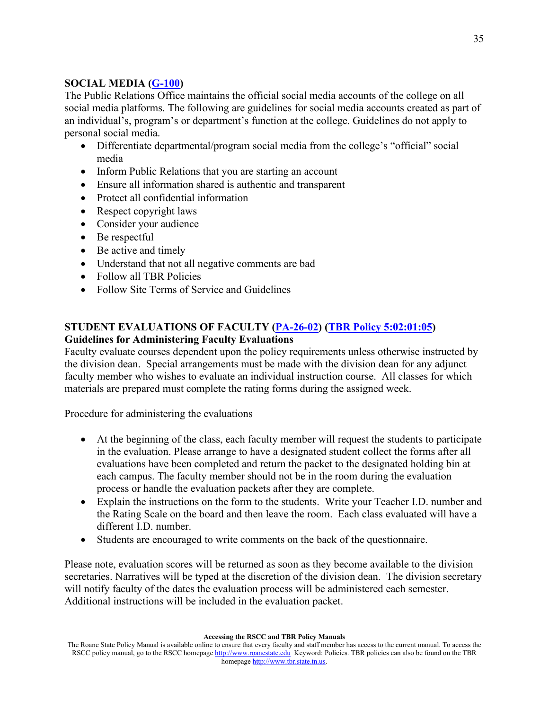# **SOCIAL MEDIA [\(G-100\)](http://www.roanestate.edu/policies/guidelines/RSCC%20Guideline%20G-100.pdf)**

The Public Relations Office maintains the official social media accounts of the college on all social media platforms. The following are guidelines for social media accounts created as part of an individual's, program's or department's function at the college. Guidelines do not apply to personal social media.

- Differentiate departmental/program social media from the college's "official" social media
- Inform Public Relations that you are starting an account
- Ensure all information shared is authentic and transparent
- Protect all confidential information
- Respect copyright laws
- Consider your audience
- Be respectful
- Be active and timely
- Understand that not all negative comments are bad
- Follow all TBR Policies
- Follow Site Terms of Service and Guidelines

## **STUDENT EVALUATIONS OF FACULTY [\(PA-26-02\)](http://www.roanestate.edu/?9270-RSCC-Policy-PA-26-02-Faculty-Evaluation) [\(TBR Policy](https://policies.tbr.edu/policies/transfer-sick-leave-between-employees) 5:02:01:05) Guidelines for Administering Faculty Evaluations**

Faculty evaluate courses dependent upon the policy requirements unless otherwise instructed by the division dean. Special arrangements must be made with the division dean for any adjunct faculty member who wishes to evaluate an individual instruction course. All classes for which materials are prepared must complete the rating forms during the assigned week.

Procedure for administering the evaluations

- At the beginning of the class, each faculty member will request the students to participate in the evaluation. Please arrange to have a designated student collect the forms after all evaluations have been completed and return the packet to the designated holding bin at each campus. The faculty member should not be in the room during the evaluation process or handle the evaluation packets after they are complete.
- Explain the instructions on the form to the students. Write your Teacher I.D. number and the Rating Scale on the board and then leave the room. Each class evaluated will have a different I.D. number.
- Students are encouraged to write comments on the back of the questionnaire.

Please note, evaluation scores will be returned as soon as they become available to the division secretaries. Narratives will be typed at the discretion of the division dean. The division secretary will notify faculty of the dates the evaluation process will be administered each semester. Additional instructions will be included in the evaluation packet.

The Roane State Policy Manual is available online to ensure that every faculty and staff member has access to the current manual. To access the RSCC policy manual, go to the RSCC homepage [http://www.roanestate.edu](http://www.roanestate.edu/) Keyword: Policies. TBR policies can also be found on the TBR homepage [http://www.tbr.state.tn.us.](http://www.tbr.state.tn.us/)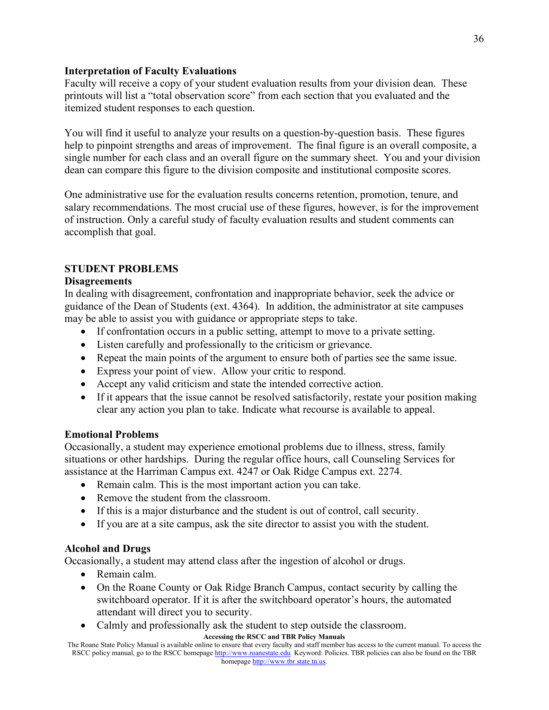### **Interpretation of Faculty Evaluations**

Faculty will receive a copy of your student evaluation results from your division dean. These printouts will list a "total observation score" from each section that you evaluated and the itemized student responses to each question.

You will find it useful to analyze your results on a question-by-question basis. These figures help to pinpoint strengths and areas of improvement. The final figure is an overall composite, a single number for each class and an overall figure on the summary sheet. You and your division dean can compare this figure to the division composite and institutional composite scores.

One administrative use for the evaluation results concerns retention, promotion, tenure, and salary recommendations. The most crucial use of these figures, however, is for the improvement of instruction. Only a careful study of faculty evaluation results and student comments can accomplish that goal.

# **STUDENT PROBLEMS**

### **Disagreements**

In dealing with disagreement, confrontation and inappropriate behavior, seek the advice or guidance of the Dean of Students (ext. 4364). In addition, the administrator at site campuses may be able to assist you with guidance or appropriate steps to take.

- If confrontation occurs in a public setting, attempt to move to a private setting.
- Listen carefully and professionally to the criticism or grievance.
- Repeat the main points of the argument to ensure both of parties see the same issue.
- Express your point of view. Allow your critic to respond.
- Accept any valid criticism and state the intended corrective action.
- If it appears that the issue cannot be resolved satisfactorily, restate your position making clear any action you plan to take. Indicate what recourse is available to appeal.

## **Emotional Problems**

Occasionally, a student may experience emotional problems due to illness, stress, family situations or other hardships. During the regular office hours, call Counseling Services for assistance at the Harriman Campus ext. 4247 or Oak Ridge Campus ext. 2274.

- Remain calm. This is the most important action you can take.
- Remove the student from the classroom.
- If this is a major disturbance and the student is out of control, call security.
- If you are at a site campus, ask the site director to assist you with the student.

## **Alcohol and Drugs**

Occasionally, a student may attend class after the ingestion of alcohol or drugs.

- Remain calm.
- On the Roane County or Oak Ridge Branch Campus, contact security by calling the switchboard operator. If it is after the switchboard operator's hours, the automated attendant will direct you to security.
- Calmly and professionally ask the student to step outside the classroom.

#### **Accessing the RSCC and TBR Policy Manuals**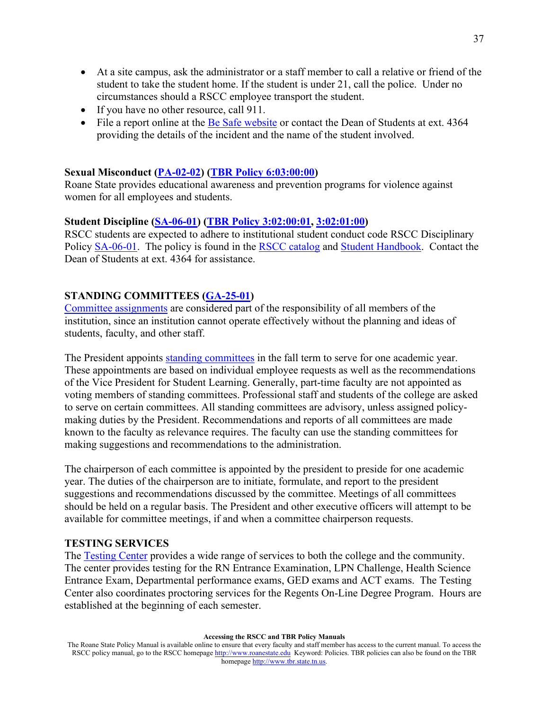- At a site campus, ask the administrator or a staff member to call a relative or friend of the student to take the student home. If the student is under 21, call the police. Under no circumstances should a RSCC employee transport the student.
- If you have no other resource, call 911.
- File a report online at the [Be Safe website](http://www.roanestate.edu/?9085-Be-Safe-at-Roane-State) or contact the Dean of Students at ext. 4364 providing the details of the incident and the name of the student involved.

### **Sexual Misconduct [\(PA-02-02\)](http://www.roanestate.edu/?7861-RSCC-Policy-PA-02-02-Sexual-Misconduct) [\(TBR Policy](https://policies.tbr.edu/policies/sexual-misconduct) 6:03:00:00)**

Roane State provides educational awareness and prevention programs for violence against women for all employees and students.

### **Student Discipline [\(SA-06-01\)](http://www.roanestate.edu/?9244-RSCC-Policy-SA-06-01-Student-Discipline) [\(TBR Policy](https://policies.tbr.edu/policies/general-policy-student-conduct-disciplinary-sanctions) 3:02:00:01, [3:02:01:00\)](https://policies.tbr.edu/policies/student-due-process-procedure)**

RSCC students are expected to adhere to institutional student conduct code RSCC Disciplinary Policy [SA-06-01.](http://www.roanestate.edu/?9244-RSCC-Policy-SA-06-01-Student-Discipline) The policy is found in the [RSCC catalog](http://www.roanestate.edu/catalog/) and [Student Handbook.](http://www.roanestate.edu/?505-Student-Handbook) Contact the Dean of Students at ext. 4364 for assistance.

## **STANDING COMMITTEES [\(GA-25-01\)](http://www.roanestate.edu/?9208-RSCC-Policy-GA-25-01-Standing-Committees)**

[Committee assignments](http://www.roanestate.edu/?6220-Committee-Assignments) are considered part of the responsibility of all members of the institution, since an institution cannot operate effectively without the planning and ideas of students, faculty, and other staff.

The President appoints [standing committees](http://www.roanestate.edu/?9208-RSCC-Policy-GA-25-01-Standing-Committees) in the fall term to serve for one academic year. These appointments are based on individual employee requests as well as the recommendations of the Vice President for Student Learning. Generally, part-time faculty are not appointed as voting members of standing committees. Professional staff and students of the college are asked to serve on certain committees. All standing committees are advisory, unless assigned policymaking duties by the President. Recommendations and reports of all committees are made known to the faculty as relevance requires. The faculty can use the standing committees for making suggestions and recommendations to the administration.

The chairperson of each committee is appointed by the president to preside for one academic year. The duties of the chairperson are to initiate, formulate, and report to the president suggestions and recommendations discussed by the committee. Meetings of all committees should be held on a regular basis. The President and other executive officers will attempt to be available for committee meetings, if and when a committee chairperson requests.

#### **TESTING SERVICES**

The [Testing Center](http://www.roanestate.edu/?5446-Testing-Centers) provides a wide range of services to both the college and the community. The center provides testing for the RN Entrance Examination, LPN Challenge, Health Science Entrance Exam, Departmental performance exams, GED exams and ACT exams. The Testing Center also coordinates proctoring services for the Regents On-Line Degree Program. Hours are established at the beginning of each semester.

The Roane State Policy Manual is available online to ensure that every faculty and staff member has access to the current manual. To access the RSCC policy manual, go to the RSCC homepage [http://www.roanestate.edu](http://www.roanestate.edu/) Keyword: Policies. TBR policies can also be found on the TBR homepage [http://www.tbr.state.tn.us.](http://www.tbr.state.tn.us/)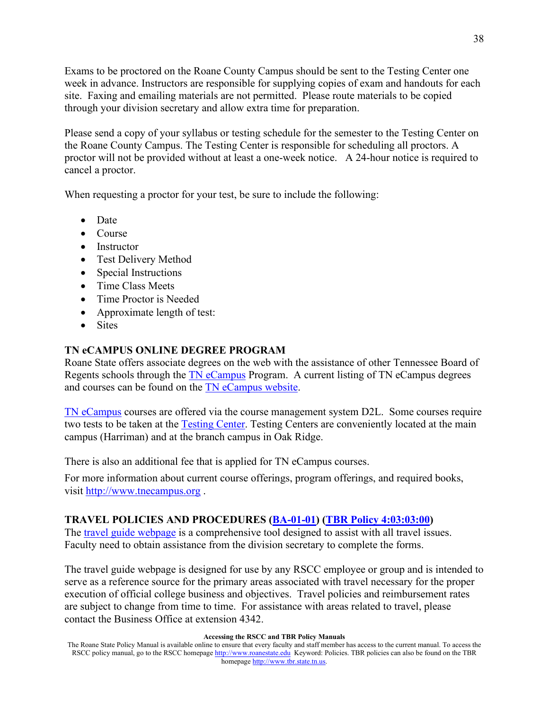Exams to be proctored on the Roane County Campus should be sent to the Testing Center one week in advance. Instructors are responsible for supplying copies of exam and handouts for each site. Faxing and emailing materials are not permitted. Please route materials to be copied through your division secretary and allow extra time for preparation.

Please send a copy of your syllabus or testing schedule for the semester to the Testing Center on the Roane County Campus. The Testing Center is responsible for scheduling all proctors. A proctor will not be provided without at least a one-week notice. A 24-hour notice is required to cancel a proctor.

When requesting a proctor for your test, be sure to include the following:

- Date
- Course
- Instructor
- Test Delivery Method
- Special Instructions
- Time Class Meets
- Time Proctor is Needed
- Approximate length of test:
- Sites

# **TN eCAMPUS ONLINE DEGREE PROGRAM**

Roane State offers associate degrees on the web with the assistance of other Tennessee Board of Regents schools through the [TN eCampus](http://www.tnecampus.org/) Program. A current listing of TN eCampus degrees and courses can be found on the [TN eCampus website.](http://www.tnecampus.org/)

[TN eCampus](http://www.tnecampus.org/) courses are offered via the course management system D2L. Some courses require two tests to be taken at the [Testing Center.](http://www.roanestate.edu/?5446-Testing-Centers) Testing Centers are conveniently located at the main campus (Harriman) and at the branch campus in Oak Ridge.

There is also an additional fee that is applied for TN eCampus courses.

For more information about current course offerings, program offerings, and required books, visit [http://www.tnecampus.org](http://www.tnecampus.org/) .

## **TRAVEL POLICIES AND PROCEDURES [\(BA-01-01\)](http://www.roanestate.edu/policies/BA-01-01.doc) [\(TBR Policy](https://policies.tbr.edu/policies/general-travel) 4:03:03:00)**

The [travel guide webpage](http://www.roanestate.edu/?528-Travel-Guide) is a comprehensive tool designed to assist with all travel issues. Faculty need to obtain assistance from the division secretary to complete the forms.

The travel guide webpage is designed for use by any RSCC employee or group and is intended to serve as a reference source for the primary areas associated with travel necessary for the proper execution of official college business and objectives. Travel policies and reimbursement rates are subject to change from time to time. For assistance with areas related to travel, please contact the Business Office at extension 4342.

The Roane State Policy Manual is available online to ensure that every faculty and staff member has access to the current manual. To access the RSCC policy manual, go to the RSCC homepage [http://www.roanestate.edu](http://www.roanestate.edu/) Keyword: Policies. TBR policies can also be found on the TBR homepage [http://www.tbr.state.tn.us.](http://www.tbr.state.tn.us/)